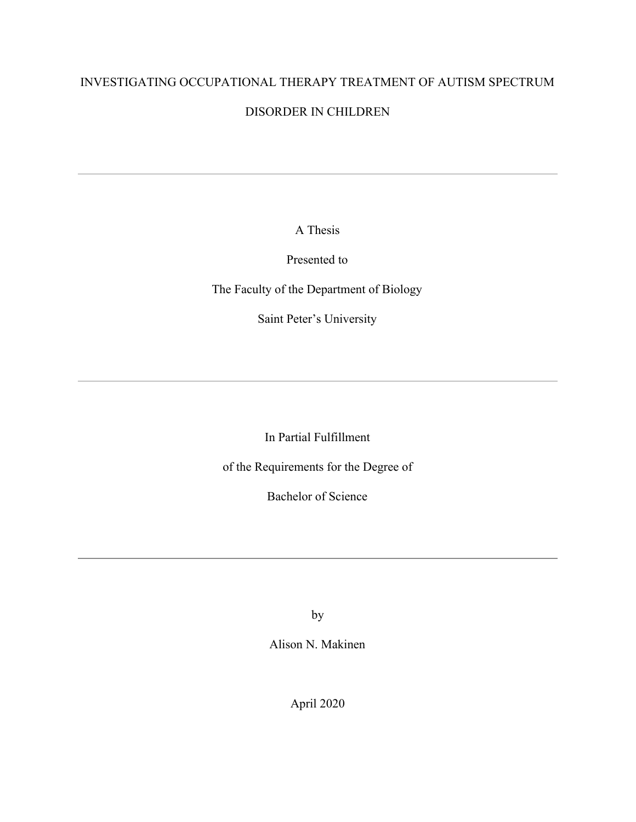# INVESTIGATING OCCUPATIONAL THERAPY TREATMENT OF AUTISM SPECTRUM

## DISORDER IN CHILDREN

A Thesis

Presented to

The Faculty of the Department of Biology

Saint Peter's University

In Partial Fulfillment

of the Requirements for the Degree of

Bachelor of Science

by

Alison N. Makinen

April 2020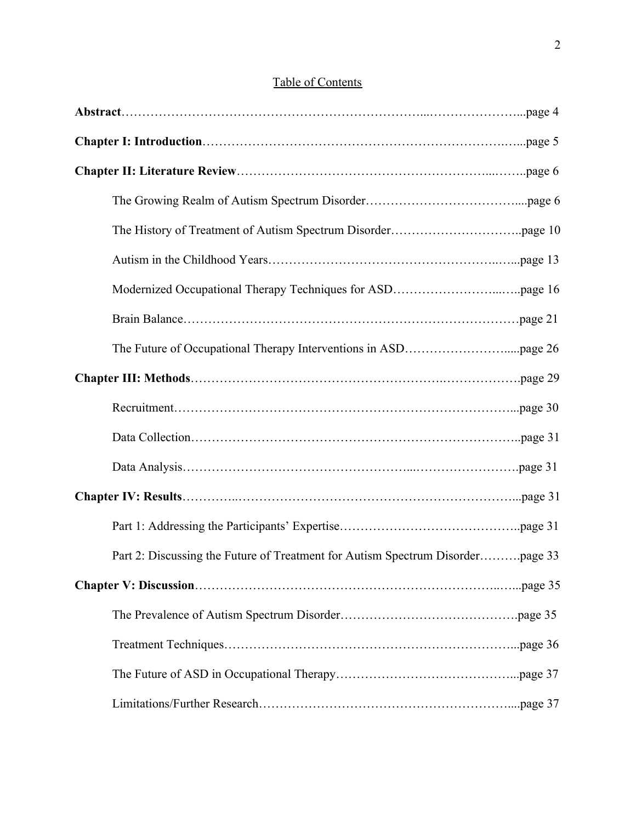| Table of Contents |
|-------------------|
|                   |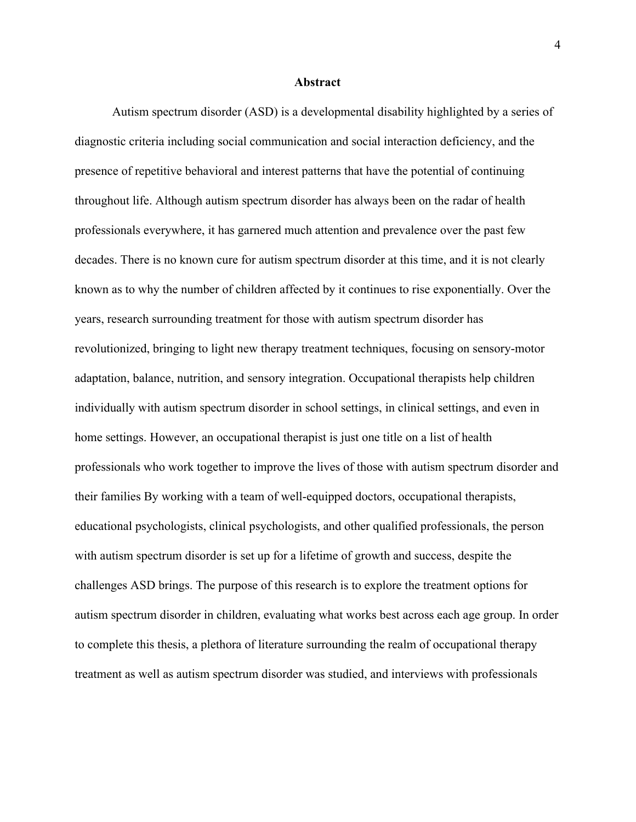#### **Abstract**

Autism spectrum disorder (ASD) is a developmental disability highlighted by a series of diagnostic criteria including social communication and social interaction deficiency, and the presence of repetitive behavioral and interest patterns that have the potential of continuing throughout life. Although autism spectrum disorder has always been on the radar of health professionals everywhere, it has garnered much attention and prevalence over the past few decades. There is no known cure for autism spectrum disorder at this time, and it is not clearly known as to why the number of children affected by it continues to rise exponentially. Over the years, research surrounding treatment for those with autism spectrum disorder has revolutionized, bringing to light new therapy treatment techniques, focusing on sensory-motor adaptation, balance, nutrition, and sensory integration. Occupational therapists help children individually with autism spectrum disorder in school settings, in clinical settings, and even in home settings. However, an occupational therapist is just one title on a list of health professionals who work together to improve the lives of those with autism spectrum disorder and their families By working with a team of well-equipped doctors, occupational therapists, educational psychologists, clinical psychologists, and other qualified professionals, the person with autism spectrum disorder is set up for a lifetime of growth and success, despite the challenges ASD brings. The purpose of this research is to explore the treatment options for autism spectrum disorder in children, evaluating what works best across each age group. In order to complete this thesis, a plethora of literature surrounding the realm of occupational therapy treatment as well as autism spectrum disorder was studied, and interviews with professionals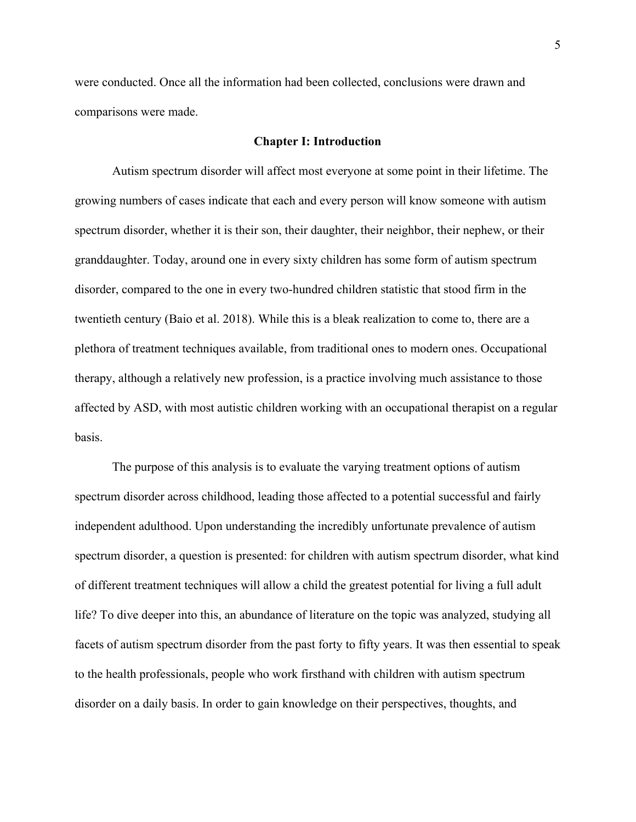were conducted. Once all the information had been collected, conclusions were drawn and comparisons were made.

#### **Chapter I: Introduction**

Autism spectrum disorder will affect most everyone at some point in their lifetime. The growing numbers of cases indicate that each and every person will know someone with autism spectrum disorder, whether it is their son, their daughter, their neighbor, their nephew, or their granddaughter. Today, around one in every sixty children has some form of autism spectrum disorder, compared to the one in every two-hundred children statistic that stood firm in the twentieth century (Baio et al. 2018). While this is a bleak realization to come to, there are a plethora of treatment techniques available, from traditional ones to modern ones. Occupational therapy, although a relatively new profession, is a practice involving much assistance to those affected by ASD, with most autistic children working with an occupational therapist on a regular basis.

The purpose of this analysis is to evaluate the varying treatment options of autism spectrum disorder across childhood, leading those affected to a potential successful and fairly independent adulthood. Upon understanding the incredibly unfortunate prevalence of autism spectrum disorder, a question is presented: for children with autism spectrum disorder, what kind of different treatment techniques will allow a child the greatest potential for living a full adult life? To dive deeper into this, an abundance of literature on the topic was analyzed, studying all facets of autism spectrum disorder from the past forty to fifty years. It was then essential to speak to the health professionals, people who work firsthand with children with autism spectrum disorder on a daily basis. In order to gain knowledge on their perspectives, thoughts, and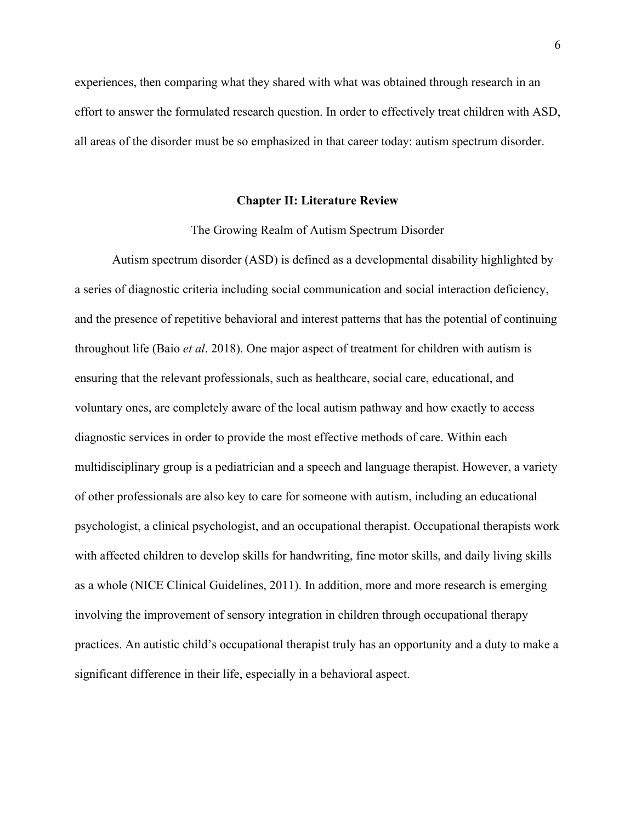experiences, then comparing what they shared with what was obtained through research in an effort to answer the formulated research question. In order to effectively treat children with ASD, all areas of the disorder must be so emphasized in that career today: autism spectrum disorder.

#### **Chapter II: Literature Review**

#### The Growing Realm of Autism Spectrum Disorder

Autism spectrum disorder (ASD) is defined as a developmental disability highlighted by a series of diagnostic criteria including social communication and social interaction deficiency, and the presence of repetitive behavioral and interest patterns that has the potential of continuing throughout life (Baio *et al*. 2018). One major aspect of treatment for children with autism is ensuring that the relevant professionals, such as healthcare, social care, educational, and voluntary ones, are completely aware of the local autism pathway and how exactly to access diagnostic services in order to provide the most effective methods of care. Within each multidisciplinary group is a pediatrician and a speech and language therapist. However, a variety of other professionals are also key to care for someone with autism, including an educational psychologist, a clinical psychologist, and an occupational therapist. Occupational therapists work with affected children to develop skills for handwriting, fine motor skills, and daily living skills as a whole (NICE Clinical Guidelines, 2011). In addition, more and more research is emerging involving the improvement of sensory integration in children through occupational therapy practices. An autistic child's occupational therapist truly has an opportunity and a duty to make a significant difference in their life, especially in a behavioral aspect.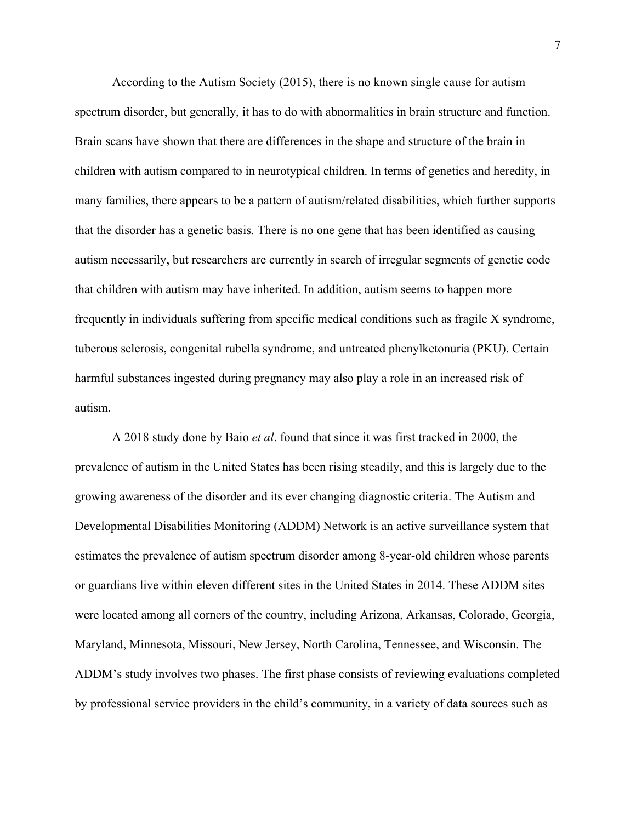According to the Autism Society (2015), there is no known single cause for autism spectrum disorder, but generally, it has to do with abnormalities in brain structure and function. Brain scans have shown that there are differences in the shape and structure of the brain in children with autism compared to in neurotypical children. In terms of genetics and heredity, in many families, there appears to be a pattern of autism/related disabilities, which further supports that the disorder has a genetic basis. There is no one gene that has been identified as causing autism necessarily, but researchers are currently in search of irregular segments of genetic code that children with autism may have inherited. In addition, autism seems to happen more frequently in individuals suffering from specific medical conditions such as fragile X syndrome, tuberous sclerosis, congenital rubella syndrome, and untreated phenylketonuria (PKU). Certain harmful substances ingested during pregnancy may also play a role in an increased risk of autism.

A 2018 study done by Baio *et al*. found that since it was first tracked in 2000, the prevalence of autism in the United States has been rising steadily, and this is largely due to the growing awareness of the disorder and its ever changing diagnostic criteria. The Autism and Developmental Disabilities Monitoring (ADDM) Network is an active surveillance system that estimates the prevalence of autism spectrum disorder among 8-year-old children whose parents or guardians live within eleven different sites in the United States in 2014. These ADDM sites were located among all corners of the country, including Arizona, Arkansas, Colorado, Georgia, Maryland, Minnesota, Missouri, New Jersey, North Carolina, Tennessee, and Wisconsin. The ADDM's study involves two phases. The first phase consists of reviewing evaluations completed by professional service providers in the child's community, in a variety of data sources such as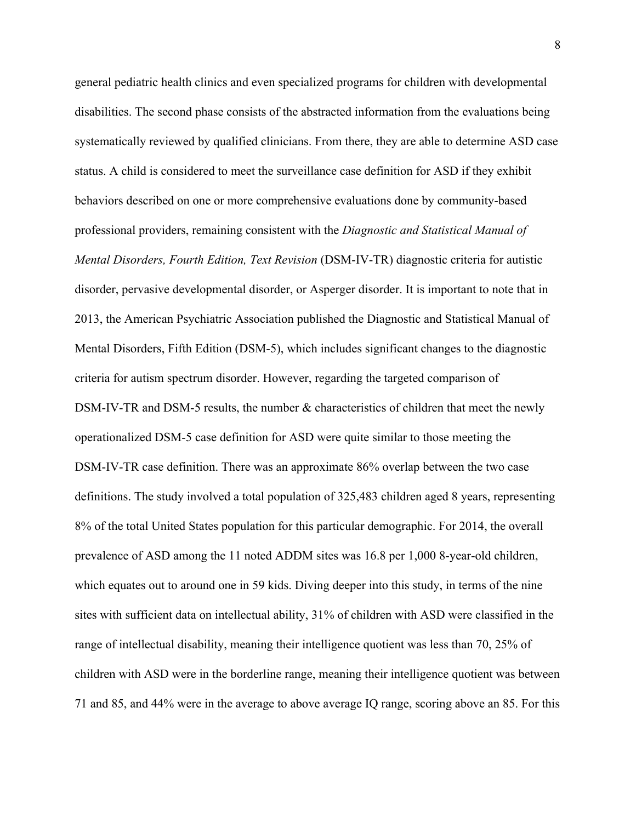general pediatric health clinics and even specialized programs for children with developmental disabilities. The second phase consists of the abstracted information from the evaluations being systematically reviewed by qualified clinicians. From there, they are able to determine ASD case status. A child is considered to meet the surveillance case definition for ASD if they exhibit behaviors described on one or more comprehensive evaluations done by community-based professional providers, remaining consistent with the *Diagnostic and Statistical Manual of Mental Disorders, Fourth Edition, Text Revision* (DSM-IV-TR) diagnostic criteria for autistic disorder, pervasive developmental disorder, or Asperger disorder. It is important to note that in 2013, the American Psychiatric Association published the Diagnostic and Statistical Manual of Mental Disorders, Fifth Edition (DSM-5), which includes significant changes to the diagnostic criteria for autism spectrum disorder. However, regarding the targeted comparison of DSM-IV-TR and DSM-5 results, the number & characteristics of children that meet the newly operationalized DSM-5 case definition for ASD were quite similar to those meeting the DSM-IV-TR case definition. There was an approximate 86% overlap between the two case definitions. The study involved a total population of 325,483 children aged 8 years, representing 8% of the total United States population for this particular demographic. For 2014, the overall prevalence of ASD among the 11 noted ADDM sites was 16.8 per 1,000 8-year-old children, which equates out to around one in 59 kids. Diving deeper into this study, in terms of the nine sites with sufficient data on intellectual ability, 31% of children with ASD were classified in the range of intellectual disability, meaning their intelligence quotient was less than 70, 25% of children with ASD were in the borderline range, meaning their intelligence quotient was between 71 and 85, and 44% were in the average to above average IQ range, scoring above an 85. For this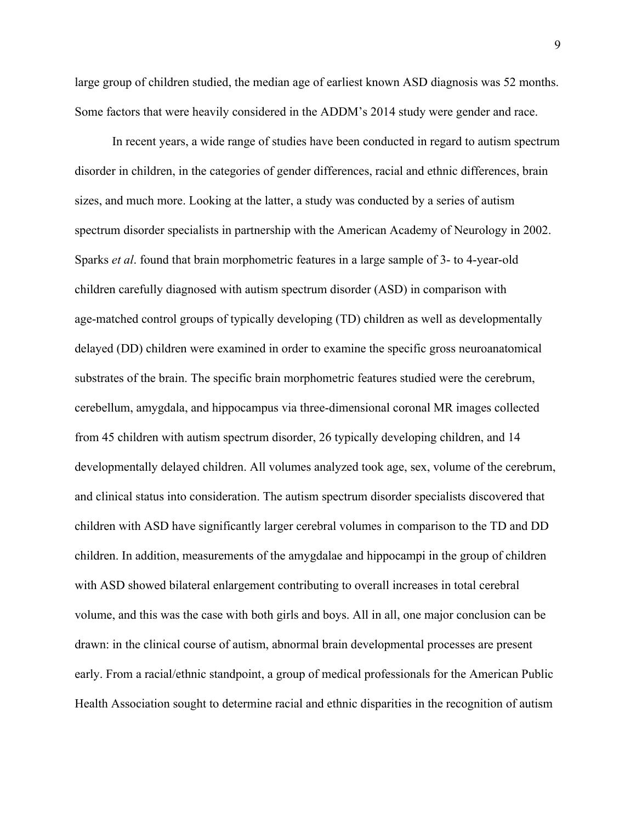large group of children studied, the median age of earliest known ASD diagnosis was 52 months. Some factors that were heavily considered in the ADDM's 2014 study were gender and race.

In recent years, a wide range of studies have been conducted in regard to autism spectrum disorder in children, in the categories of gender differences, racial and ethnic differences, brain sizes, and much more. Looking at the latter, a study was conducted by a series of autism spectrum disorder specialists in partnership with the American Academy of Neurology in 2002. Sparks *et al*. found that brain morphometric features in a large sample of 3- to 4-year-old children carefully diagnosed with autism spectrum disorder (ASD) in comparison with age-matched control groups of typically developing (TD) children as well as developmentally delayed (DD) children were examined in order to examine the specific gross neuroanatomical substrates of the brain. The specific brain morphometric features studied were the cerebrum, cerebellum, amygdala, and hippocampus via three-dimensional coronal MR images collected from 45 children with autism spectrum disorder, 26 typically developing children, and 14 developmentally delayed children. All volumes analyzed took age, sex, volume of the cerebrum, and clinical status into consideration. The autism spectrum disorder specialists discovered that children with ASD have significantly larger cerebral volumes in comparison to the TD and DD children. In addition, measurements of the amygdalae and hippocampi in the group of children with ASD showed bilateral enlargement contributing to overall increases in total cerebral volume, and this was the case with both girls and boys. All in all, one major conclusion can be drawn: in the clinical course of autism, abnormal brain developmental processes are present early. From a racial/ethnic standpoint, a group of medical professionals for the American Public Health Association sought to determine racial and ethnic disparities in the recognition of autism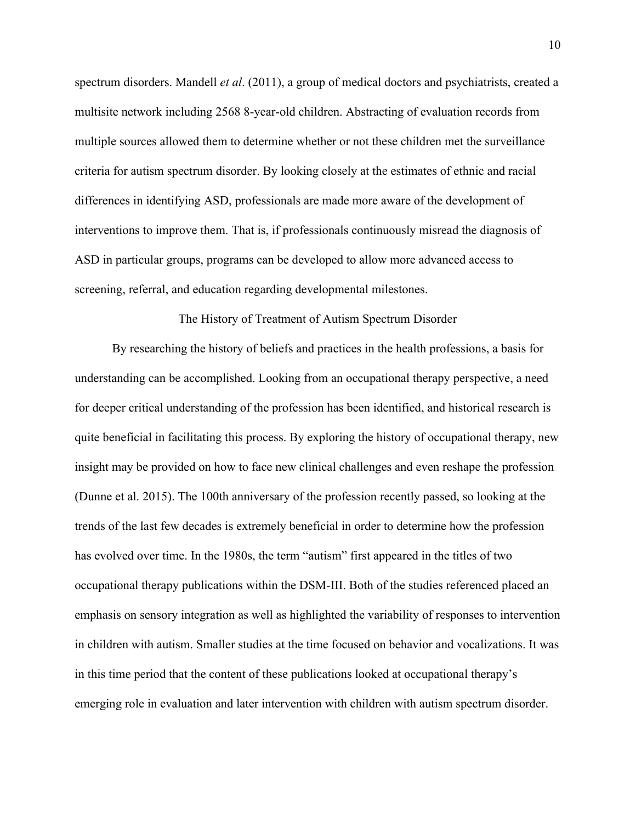spectrum disorders. Mandell *et al*. (2011), a group of medical doctors and psychiatrists, created a multisite network including 2568 8-year-old children. Abstracting of evaluation records from multiple sources allowed them to determine whether or not these children met the surveillance criteria for autism spectrum disorder. By looking closely at the estimates of ethnic and racial differences in identifying ASD, professionals are made more aware of the development of interventions to improve them. That is, if professionals continuously misread the diagnosis of ASD in particular groups, programs can be developed to allow more advanced access to screening, referral, and education regarding developmental milestones.

### The History of Treatment of Autism Spectrum Disorder

By researching the history of beliefs and practices in the health professions, a basis for understanding can be accomplished. Looking from an occupational therapy perspective, a need for deeper critical understanding of the profession has been identified, and historical research is quite beneficial in facilitating this process. By exploring the history of occupational therapy, new insight may be provided on how to face new clinical challenges and even reshape the profession (Dunne et al. 2015). The 100th anniversary of the profession recently passed, so looking at the trends of the last few decades is extremely beneficial in order to determine how the profession has evolved over time. In the 1980s, the term "autism" first appeared in the titles of two occupational therapy publications within the DSM-III. Both of the studies referenced placed an emphasis on sensory integration as well as highlighted the variability of responses to intervention in children with autism. Smaller studies at the time focused on behavior and vocalizations. It was in this time period that the content of these publications looked at occupational therapy's emerging role in evaluation and later intervention with children with autism spectrum disorder.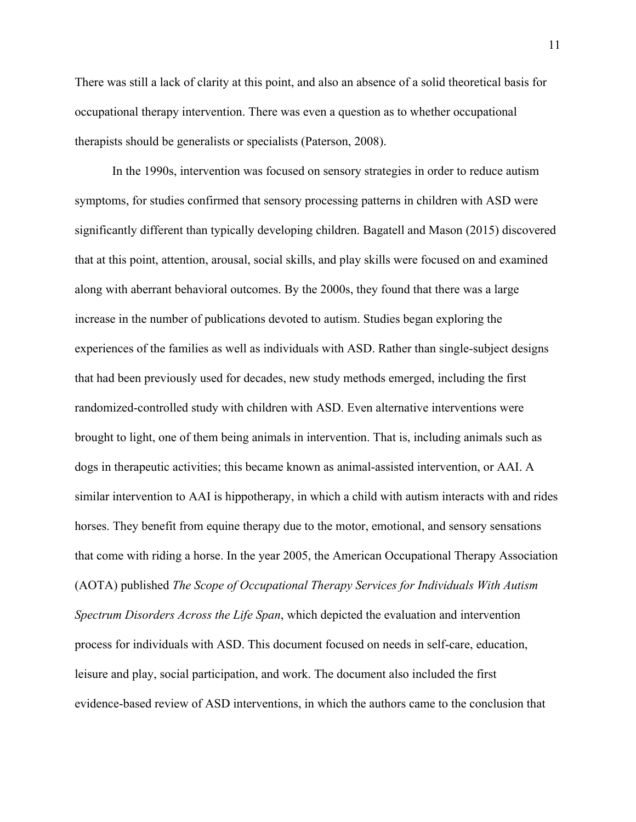There was still a lack of clarity at this point, and also an absence of a solid theoretical basis for occupational therapy intervention. There was even a question as to whether occupational therapists should be generalists or specialists (Paterson, 2008).

In the 1990s, intervention was focused on sensory strategies in order to reduce autism symptoms, for studies confirmed that sensory processing patterns in children with ASD were significantly different than typically developing children. Bagatell and Mason (2015) discovered that at this point, attention, arousal, social skills, and play skills were focused on and examined along with aberrant behavioral outcomes. By the 2000s, they found that there was a large increase in the number of publications devoted to autism. Studies began exploring the experiences of the families as well as individuals with ASD. Rather than single-subject designs that had been previously used for decades, new study methods emerged, including the first randomized-controlled study with children with ASD. Even alternative interventions were brought to light, one of them being animals in intervention. That is, including animals such as dogs in therapeutic activities; this became known as animal-assisted intervention, or AAI. A similar intervention to AAI is hippotherapy, in which a child with autism interacts with and rides horses. They benefit from equine therapy due to the motor, emotional, and sensory sensations that come with riding a horse. In the year 2005, the American Occupational Therapy Association (AOTA) published *The Scope of Occupational Therapy Services for Individuals With Autism Spectrum Disorders Across the Life Span*, which depicted the evaluation and intervention process for individuals with ASD. This document focused on needs in self-care, education, leisure and play, social participation, and work. The document also included the first evidence-based review of ASD interventions, in which the authors came to the conclusion that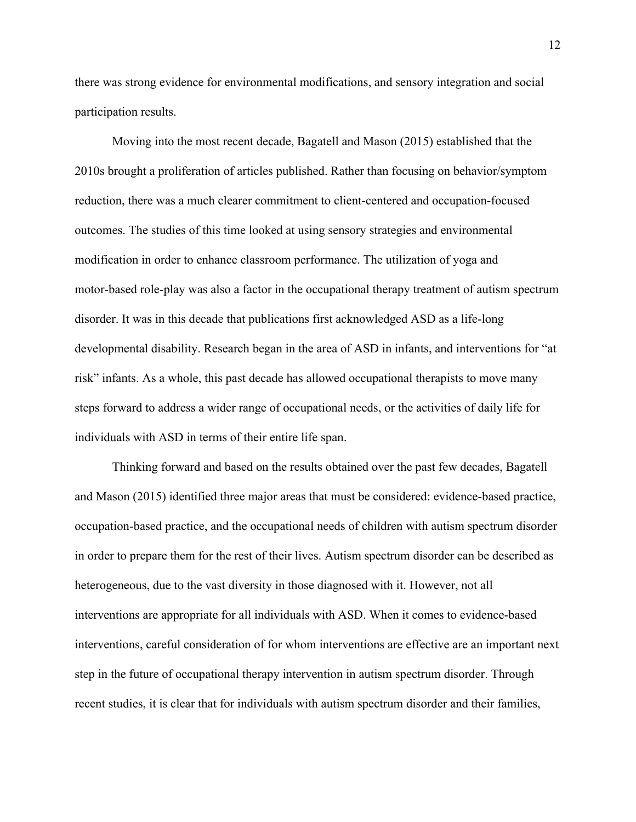there was strong evidence for environmental modifications, and sensory integration and social participation results.

Moving into the most recent decade, Bagatell and Mason (2015) established that the 2010s brought a proliferation of articles published. Rather than focusing on behavior/symptom reduction, there was a much clearer commitment to client-centered and occupation-focused outcomes. The studies of this time looked at using sensory strategies and environmental modification in order to enhance classroom performance. The utilization of yoga and motor-based role-play was also a factor in the occupational therapy treatment of autism spectrum disorder. It was in this decade that publications first acknowledged ASD as a life-long developmental disability. Research began in the area of ASD in infants, and interventions for "at risk" infants. As a whole, this past decade has allowed occupational therapists to move many steps forward to address a wider range of occupational needs, or the activities of daily life for individuals with ASD in terms of their entire life span.

Thinking forward and based on the results obtained over the past few decades, Bagatell and Mason (2015) identified three major areas that must be considered: evidence-based practice, occupation-based practice, and the occupational needs of children with autism spectrum disorder in order to prepare them for the rest of their lives. Autism spectrum disorder can be described as heterogeneous, due to the vast diversity in those diagnosed with it. However, not all interventions are appropriate for all individuals with ASD. When it comes to evidence-based interventions, careful consideration of for whom interventions are effective are an important next step in the future of occupational therapy intervention in autism spectrum disorder. Through recent studies, it is clear that for individuals with autism spectrum disorder and their families,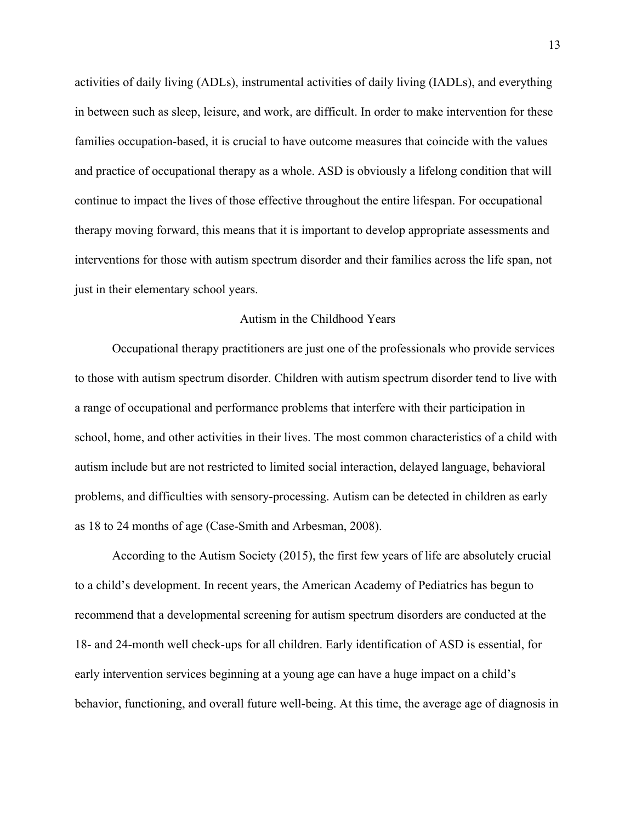activities of daily living (ADLs), instrumental activities of daily living (IADLs), and everything in between such as sleep, leisure, and work, are difficult. In order to make intervention for these families occupation-based, it is crucial to have outcome measures that coincide with the values and practice of occupational therapy as a whole. ASD is obviously a lifelong condition that will continue to impact the lives of those effective throughout the entire lifespan. For occupational therapy moving forward, this means that it is important to develop appropriate assessments and interventions for those with autism spectrum disorder and their families across the life span, not just in their elementary school years.

### Autism in the Childhood Years

Occupational therapy practitioners are just one of the professionals who provide services to those with autism spectrum disorder. Children with autism spectrum disorder tend to live with a range of occupational and performance problems that interfere with their participation in school, home, and other activities in their lives. The most common characteristics of a child with autism include but are not restricted to limited social interaction, delayed language, behavioral problems, and difficulties with sensory-processing. Autism can be detected in children as early as 18 to 24 months of age (Case-Smith and Arbesman, 2008).

According to the Autism Society (2015), the first few years of life are absolutely crucial to a child's development. In recent years, the American Academy of Pediatrics has begun to recommend that a developmental screening for autism spectrum disorders are conducted at the 18- and 24-month well check-ups for all children. Early identification of ASD is essential, for early intervention services beginning at a young age can have a huge impact on a child's behavior, functioning, and overall future well-being. At this time, the average age of diagnosis in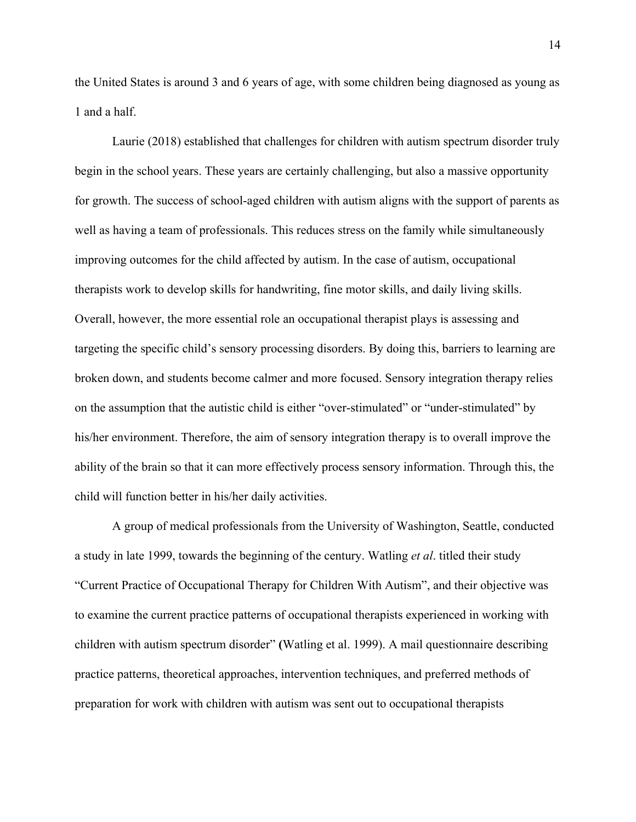the United States is around 3 and 6 years of age, with some children being diagnosed as young as 1 and a half.

Laurie (2018) established that challenges for children with autism spectrum disorder truly begin in the school years. These years are certainly challenging, but also a massive opportunity for growth. The success of school-aged children with autism aligns with the support of parents as well as having a team of professionals. This reduces stress on the family while simultaneously improving outcomes for the child affected by autism. In the case of autism, occupational therapists work to develop skills for handwriting, fine motor skills, and daily living skills. Overall, however, the more essential role an occupational therapist plays is assessing and targeting the specific child's sensory processing disorders. By doing this, barriers to learning are broken down, and students become calmer and more focused. Sensory integration therapy relies on the assumption that the autistic child is either "over-stimulated" or "under-stimulated" by his/her environment. Therefore, the aim of sensory integration therapy is to overall improve the ability of the brain so that it can more effectively process sensory information. Through this, the child will function better in his/her daily activities.

A group of medical professionals from the University of Washington, Seattle, conducted a study in late 1999, towards the beginning of the century. Watling *et al*. titled their study "Current Practice of Occupational Therapy for Children With Autism", and their objective was to examine the current practice patterns of occupational therapists experienced in working with children with autism spectrum disorder" **(**Watling et al. 1999). A mail questionnaire describing practice patterns, theoretical approaches, intervention techniques, and preferred methods of preparation for work with children with autism was sent out to occupational therapists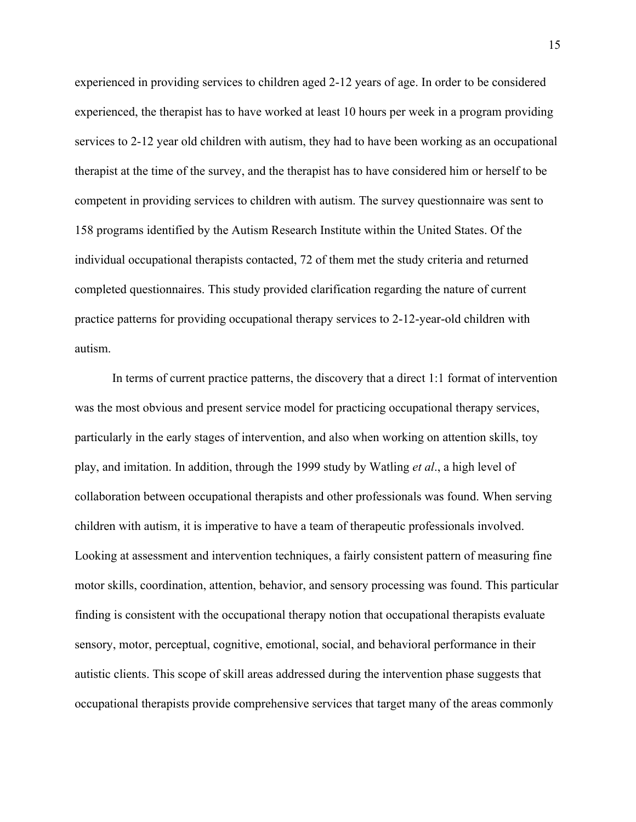experienced in providing services to children aged 2-12 years of age. In order to be considered experienced, the therapist has to have worked at least 10 hours per week in a program providing services to 2-12 year old children with autism, they had to have been working as an occupational therapist at the time of the survey, and the therapist has to have considered him or herself to be competent in providing services to children with autism. The survey questionnaire was sent to 158 programs identified by the Autism Research Institute within the United States. Of the individual occupational therapists contacted, 72 of them met the study criteria and returned completed questionnaires. This study provided clarification regarding the nature of current practice patterns for providing occupational therapy services to 2-12-year-old children with autism.

In terms of current practice patterns, the discovery that a direct 1:1 format of intervention was the most obvious and present service model for practicing occupational therapy services, particularly in the early stages of intervention, and also when working on attention skills, toy play, and imitation. In addition, through the 1999 study by Watling *et al*., a high level of collaboration between occupational therapists and other professionals was found. When serving children with autism, it is imperative to have a team of therapeutic professionals involved. Looking at assessment and intervention techniques, a fairly consistent pattern of measuring fine motor skills, coordination, attention, behavior, and sensory processing was found. This particular finding is consistent with the occupational therapy notion that occupational therapists evaluate sensory, motor, perceptual, cognitive, emotional, social, and behavioral performance in their autistic clients. This scope of skill areas addressed during the intervention phase suggests that occupational therapists provide comprehensive services that target many of the areas commonly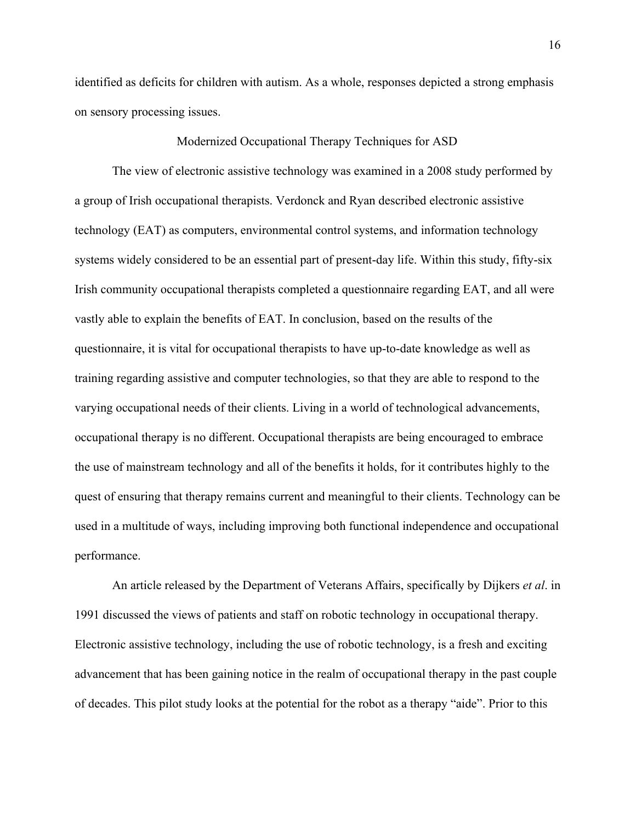identified as deficits for children with autism. As a whole, responses depicted a strong emphasis on sensory processing issues.

#### Modernized Occupational Therapy Techniques for ASD

The view of electronic assistive technology was examined in a 2008 study performed by a group of Irish occupational therapists. Verdonck and Ryan described electronic assistive technology (EAT) as computers, environmental control systems, and information technology systems widely considered to be an essential part of present-day life. Within this study, fifty-six Irish community occupational therapists completed a questionnaire regarding EAT, and all were vastly able to explain the benefits of EAT. In conclusion, based on the results of the questionnaire, it is vital for occupational therapists to have up-to-date knowledge as well as training regarding assistive and computer technologies, so that they are able to respond to the varying occupational needs of their clients. Living in a world of technological advancements, occupational therapy is no different. Occupational therapists are being encouraged to embrace the use of mainstream technology and all of the benefits it holds, for it contributes highly to the quest of ensuring that therapy remains current and meaningful to their clients. Technology can be used in a multitude of ways, including improving both functional independence and occupational performance.

An article released by the Department of Veterans Affairs, specifically by Dijkers *et al*. in 1991 discussed the views of patients and staff on robotic technology in occupational therapy. Electronic assistive technology, including the use of robotic technology, is a fresh and exciting advancement that has been gaining notice in the realm of occupational therapy in the past couple of decades. This pilot study looks at the potential for the robot as a therapy "aide". Prior to this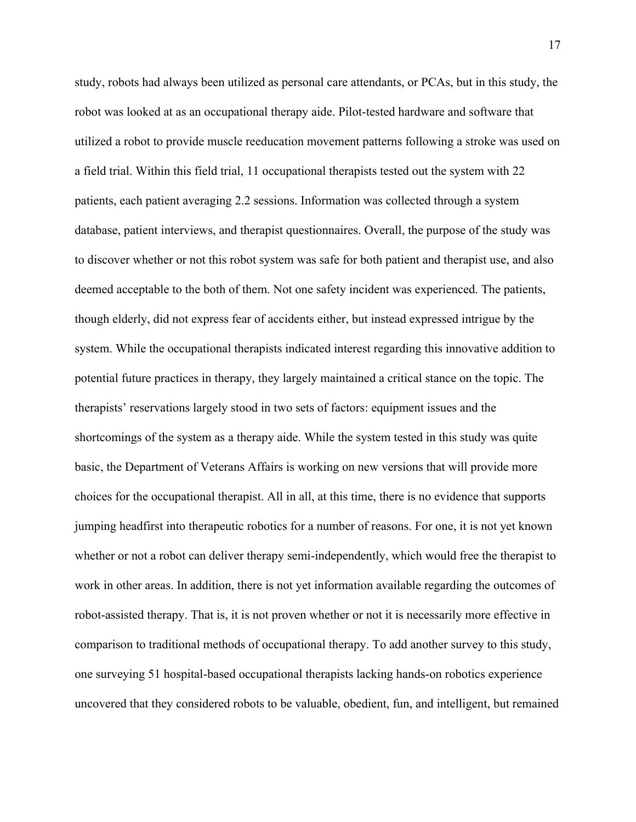study, robots had always been utilized as personal care attendants, or PCAs, but in this study, the robot was looked at as an occupational therapy aide. Pilot-tested hardware and software that utilized a robot to provide muscle reeducation movement patterns following a stroke was used on a field trial. Within this field trial, 11 occupational therapists tested out the system with 22 patients, each patient averaging 2.2 sessions. Information was collected through a system database, patient interviews, and therapist questionnaires. Overall, the purpose of the study was to discover whether or not this robot system was safe for both patient and therapist use, and also deemed acceptable to the both of them. Not one safety incident was experienced. The patients, though elderly, did not express fear of accidents either, but instead expressed intrigue by the system. While the occupational therapists indicated interest regarding this innovative addition to potential future practices in therapy, they largely maintained a critical stance on the topic. The therapists' reservations largely stood in two sets of factors: equipment issues and the shortcomings of the system as a therapy aide. While the system tested in this study was quite basic, the Department of Veterans Affairs is working on new versions that will provide more choices for the occupational therapist. All in all, at this time, there is no evidence that supports jumping headfirst into therapeutic robotics for a number of reasons. For one, it is not yet known whether or not a robot can deliver therapy semi-independently, which would free the therapist to work in other areas. In addition, there is not yet information available regarding the outcomes of robot-assisted therapy. That is, it is not proven whether or not it is necessarily more effective in comparison to traditional methods of occupational therapy. To add another survey to this study, one surveying 51 hospital-based occupational therapists lacking hands-on robotics experience uncovered that they considered robots to be valuable, obedient, fun, and intelligent, but remained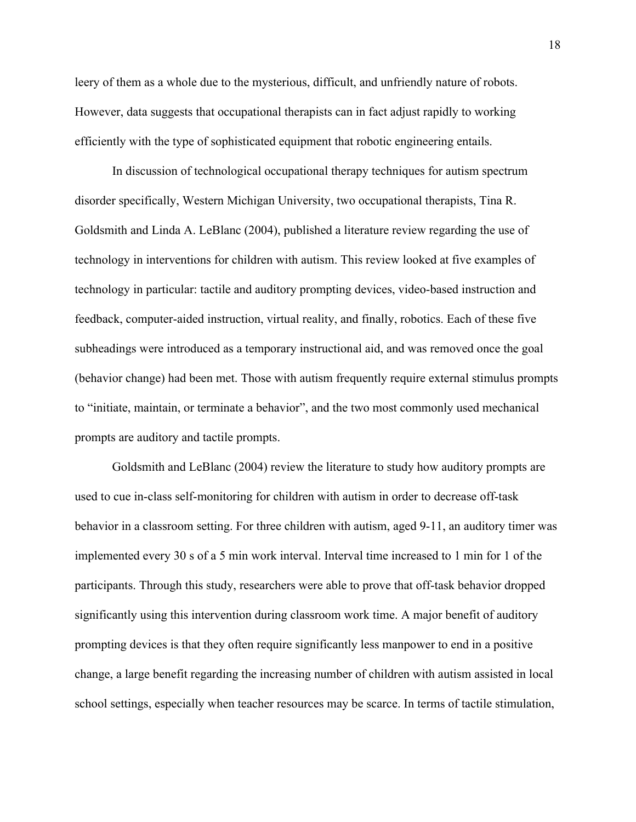leery of them as a whole due to the mysterious, difficult, and unfriendly nature of robots. However, data suggests that occupational therapists can in fact adjust rapidly to working efficiently with the type of sophisticated equipment that robotic engineering entails.

In discussion of technological occupational therapy techniques for autism spectrum disorder specifically, Western Michigan University, two occupational therapists, Tina R. Goldsmith and Linda A. LeBlanc (2004), published a literature review regarding the use of technology in interventions for children with autism. This review looked at five examples of technology in particular: tactile and auditory prompting devices, video-based instruction and feedback, computer-aided instruction, virtual reality, and finally, robotics. Each of these five subheadings were introduced as a temporary instructional aid, and was removed once the goal (behavior change) had been met. Those with autism frequently require external stimulus prompts to "initiate, maintain, or terminate a behavior", and the two most commonly used mechanical prompts are auditory and tactile prompts.

Goldsmith and LeBlanc (2004) review the literature to study how auditory prompts are used to cue in-class self-monitoring for children with autism in order to decrease off-task behavior in a classroom setting. For three children with autism, aged 9-11, an auditory timer was implemented every 30 s of a 5 min work interval. Interval time increased to 1 min for 1 of the participants. Through this study, researchers were able to prove that off-task behavior dropped significantly using this intervention during classroom work time. A major benefit of auditory prompting devices is that they often require significantly less manpower to end in a positive change, a large benefit regarding the increasing number of children with autism assisted in local school settings, especially when teacher resources may be scarce. In terms of tactile stimulation,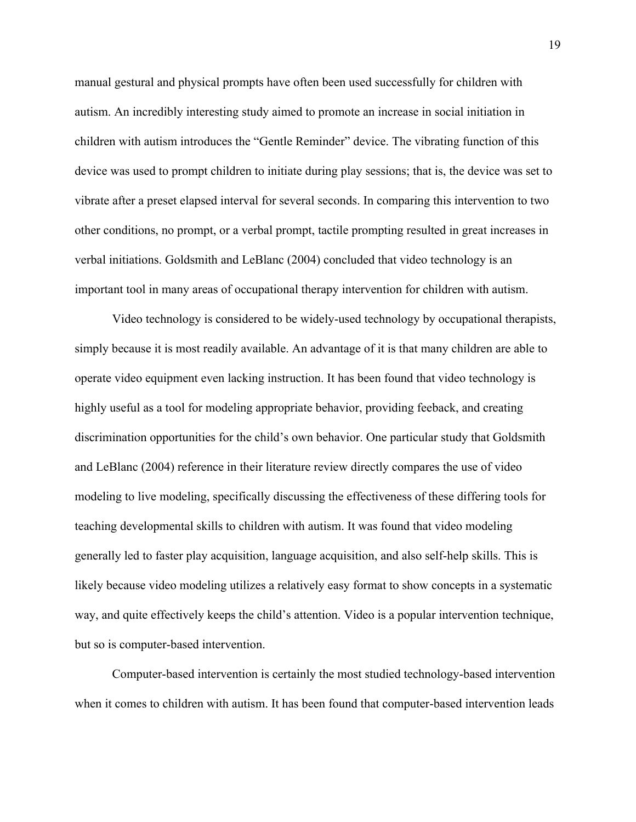manual gestural and physical prompts have often been used successfully for children with autism. An incredibly interesting study aimed to promote an increase in social initiation in children with autism introduces the "Gentle Reminder" device. The vibrating function of this device was used to prompt children to initiate during play sessions; that is, the device was set to vibrate after a preset elapsed interval for several seconds. In comparing this intervention to two other conditions, no prompt, or a verbal prompt, tactile prompting resulted in great increases in verbal initiations. Goldsmith and LeBlanc (2004) concluded that video technology is an important tool in many areas of occupational therapy intervention for children with autism.

Video technology is considered to be widely-used technology by occupational therapists, simply because it is most readily available. An advantage of it is that many children are able to operate video equipment even lacking instruction. It has been found that video technology is highly useful as a tool for modeling appropriate behavior, providing feeback, and creating discrimination opportunities for the child's own behavior. One particular study that Goldsmith and LeBlanc (2004) reference in their literature review directly compares the use of video modeling to live modeling, specifically discussing the effectiveness of these differing tools for teaching developmental skills to children with autism. It was found that video modeling generally led to faster play acquisition, language acquisition, and also self-help skills. This is likely because video modeling utilizes a relatively easy format to show concepts in a systematic way, and quite effectively keeps the child's attention. Video is a popular intervention technique, but so is computer-based intervention.

Computer-based intervention is certainly the most studied technology-based intervention when it comes to children with autism. It has been found that computer-based intervention leads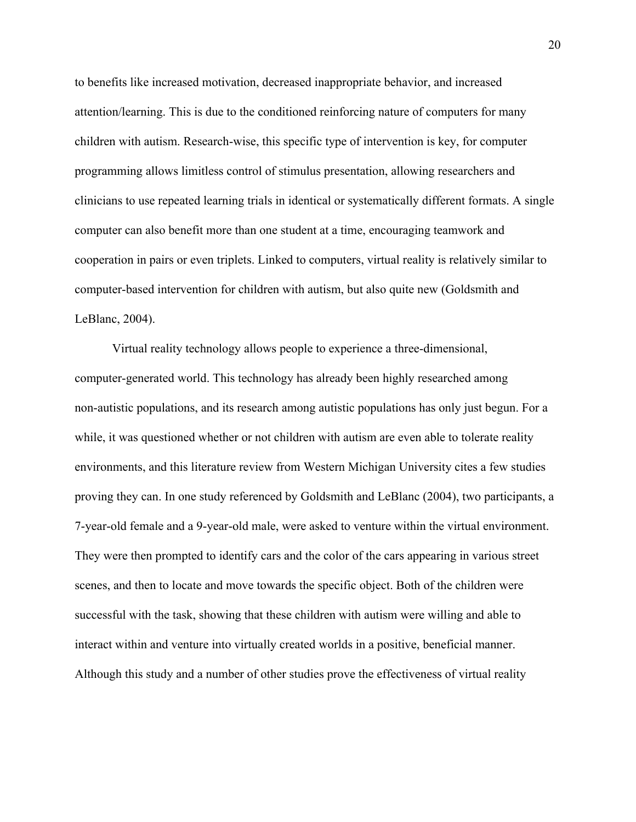to benefits like increased motivation, decreased inappropriate behavior, and increased attention/learning. This is due to the conditioned reinforcing nature of computers for many children with autism. Research-wise, this specific type of intervention is key, for computer programming allows limitless control of stimulus presentation, allowing researchers and clinicians to use repeated learning trials in identical or systematically different formats. A single computer can also benefit more than one student at a time, encouraging teamwork and cooperation in pairs or even triplets. Linked to computers, virtual reality is relatively similar to computer-based intervention for children with autism, but also quite new (Goldsmith and LeBlanc, 2004).

Virtual reality technology allows people to experience a three-dimensional, computer-generated world. This technology has already been highly researched among non-autistic populations, and its research among autistic populations has only just begun. For a while, it was questioned whether or not children with autism are even able to tolerate reality environments, and this literature review from Western Michigan University cites a few studies proving they can. In one study referenced by Goldsmith and LeBlanc (2004), two participants, a 7-year-old female and a 9-year-old male, were asked to venture within the virtual environment. They were then prompted to identify cars and the color of the cars appearing in various street scenes, and then to locate and move towards the specific object. Both of the children were successful with the task, showing that these children with autism were willing and able to interact within and venture into virtually created worlds in a positive, beneficial manner. Although this study and a number of other studies prove the effectiveness of virtual reality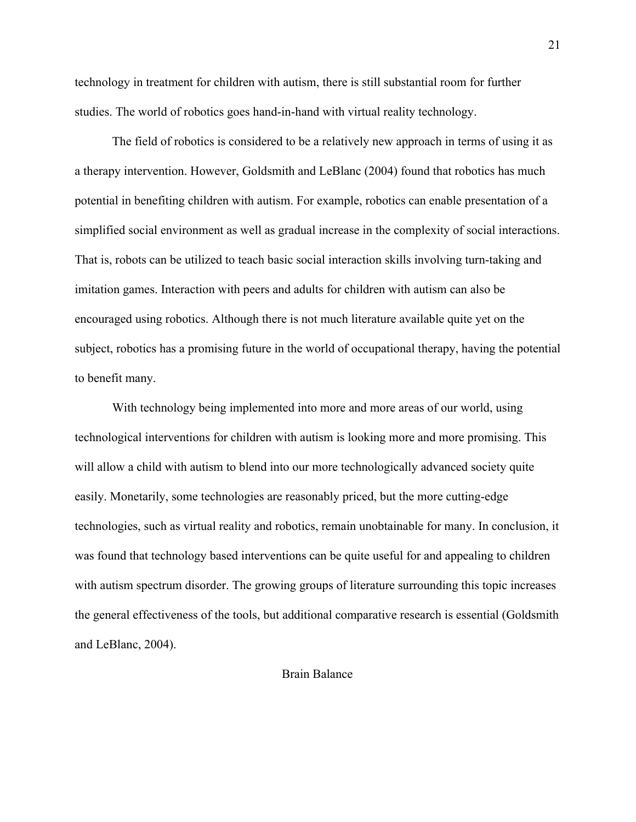technology in treatment for children with autism, there is still substantial room for further studies. The world of robotics goes hand-in-hand with virtual reality technology.

The field of robotics is considered to be a relatively new approach in terms of using it as a therapy intervention. However, Goldsmith and LeBlanc (2004) found that robotics has much potential in benefiting children with autism. For example, robotics can enable presentation of a simplified social environment as well as gradual increase in the complexity of social interactions. That is, robots can be utilized to teach basic social interaction skills involving turn-taking and imitation games. Interaction with peers and adults for children with autism can also be encouraged using robotics. Although there is not much literature available quite yet on the subject, robotics has a promising future in the world of occupational therapy, having the potential to benefit many.

With technology being implemented into more and more areas of our world, using technological interventions for children with autism is looking more and more promising. This will allow a child with autism to blend into our more technologically advanced society quite easily. Monetarily, some technologies are reasonably priced, but the more cutting-edge technologies, such as virtual reality and robotics, remain unobtainable for many. In conclusion, it was found that technology based interventions can be quite useful for and appealing to children with autism spectrum disorder. The growing groups of literature surrounding this topic increases the general effectiveness of the tools, but additional comparative research is essential (Goldsmith and LeBlanc, 2004).

## Brain Balance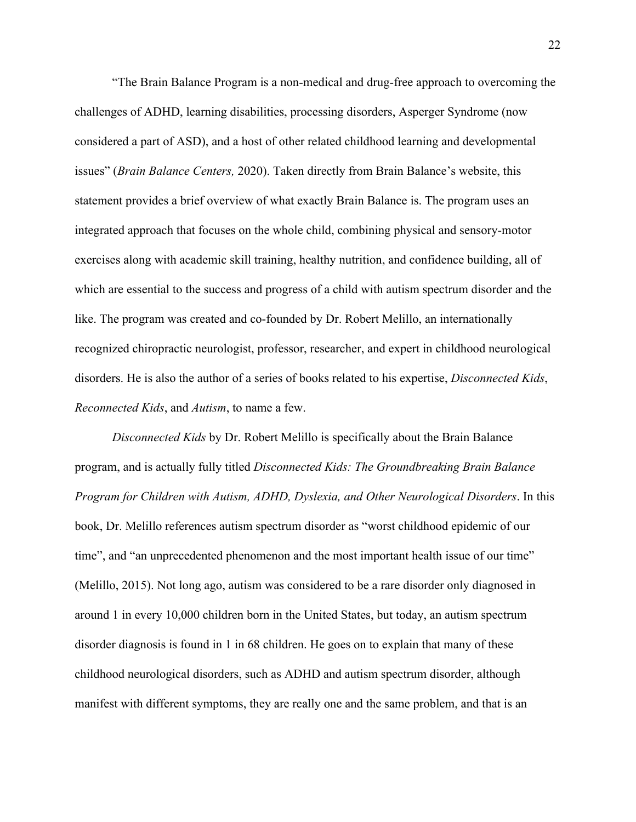"The Brain Balance Program is a non-medical and drug-free approach to overcoming the challenges of ADHD, learning disabilities, processing disorders, Asperger Syndrome (now considered a part of ASD), and a host of other related childhood learning and developmental issues" (*Brain Balance Centers,* 2020). Taken directly from Brain Balance's website, this statement provides a brief overview of what exactly Brain Balance is. The program uses an integrated approach that focuses on the whole child, combining physical and sensory-motor exercises along with academic skill training, healthy nutrition, and confidence building, all of which are essential to the success and progress of a child with autism spectrum disorder and the like. The program was created and co-founded by Dr. Robert Melillo, an internationally recognized chiropractic neurologist, professor, researcher, and expert in childhood neurological disorders. He is also the author of a series of books related to his expertise, *Disconnected Kids*, *Reconnected Kids*, and *Autism*, to name a few.

*Disconnected Kids* by Dr. Robert Melillo is specifically about the Brain Balance program, and is actually fully titled *Disconnected Kids: The Groundbreaking Brain Balance Program for Children with Autism, ADHD, Dyslexia, and Other Neurological Disorders*. In this book, Dr. Melillo references autism spectrum disorder as "worst childhood epidemic of our time", and "an unprecedented phenomenon and the most important health issue of our time" (Melillo, 2015). Not long ago, autism was considered to be a rare disorder only diagnosed in around 1 in every 10,000 children born in the United States, but today, an autism spectrum disorder diagnosis is found in 1 in 68 children. He goes on to explain that many of these childhood neurological disorders, such as ADHD and autism spectrum disorder, although manifest with different symptoms, they are really one and the same problem, and that is an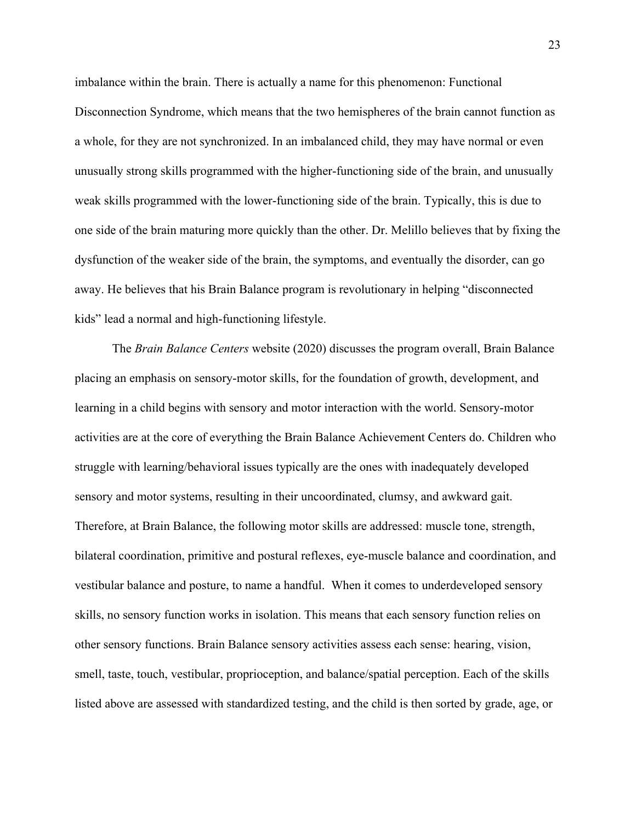imbalance within the brain. There is actually a name for this phenomenon: Functional Disconnection Syndrome, which means that the two hemispheres of the brain cannot function as a whole, for they are not synchronized. In an imbalanced child, they may have normal or even unusually strong skills programmed with the higher-functioning side of the brain, and unusually weak skills programmed with the lower-functioning side of the brain. Typically, this is due to one side of the brain maturing more quickly than the other. Dr. Melillo believes that by fixing the dysfunction of the weaker side of the brain, the symptoms, and eventually the disorder, can go away. He believes that his Brain Balance program is revolutionary in helping "disconnected kids" lead a normal and high-functioning lifestyle.

The *Brain Balance Centers* website (2020) discusses the program overall, Brain Balance placing an emphasis on sensory-motor skills, for the foundation of growth, development, and learning in a child begins with sensory and motor interaction with the world. Sensory-motor activities are at the core of everything the Brain Balance Achievement Centers do. Children who struggle with learning/behavioral issues typically are the ones with inadequately developed sensory and motor systems, resulting in their uncoordinated, clumsy, and awkward gait. Therefore, at Brain Balance, the following motor skills are addressed: muscle tone, strength, bilateral coordination, primitive and postural reflexes, eye-muscle balance and coordination, and vestibular balance and posture, to name a handful. When it comes to underdeveloped sensory skills, no sensory function works in isolation. This means that each sensory function relies on other sensory functions. Brain Balance sensory activities assess each sense: hearing, vision, smell, taste, touch, vestibular, proprioception, and balance/spatial perception. Each of the skills listed above are assessed with standardized testing, and the child is then sorted by grade, age, or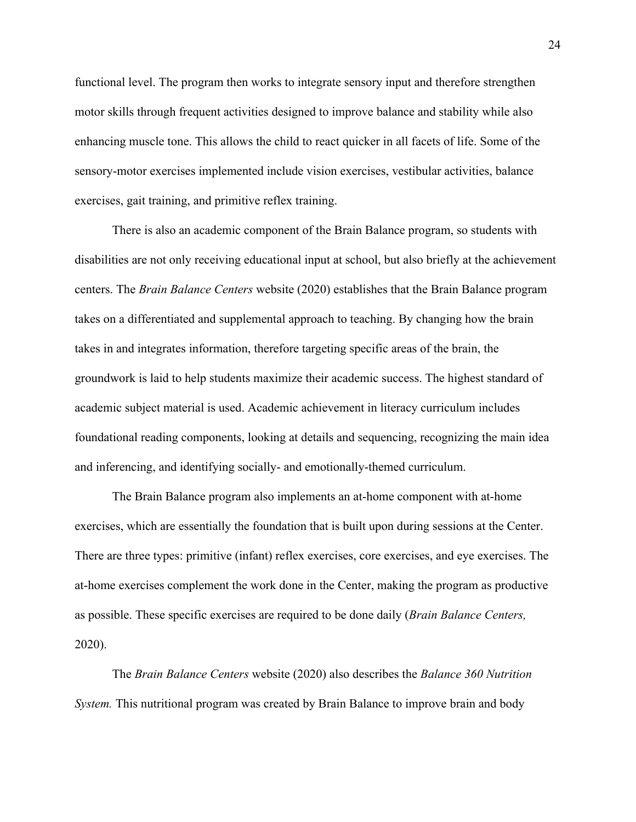functional level. The program then works to integrate sensory input and therefore strengthen motor skills through frequent activities designed to improve balance and stability while also enhancing muscle tone. This allows the child to react quicker in all facets of life. Some of the sensory-motor exercises implemented include vision exercises, vestibular activities, balance exercises, gait training, and primitive reflex training.

There is also an academic component of the Brain Balance program, so students with disabilities are not only receiving educational input at school, but also briefly at the achievement centers. The *Brain Balance Centers* website (2020) establishes that the Brain Balance program takes on a differentiated and supplemental approach to teaching. By changing how the brain takes in and integrates information, therefore targeting specific areas of the brain, the groundwork is laid to help students maximize their academic success. The highest standard of academic subject material is used. Academic achievement in literacy curriculum includes foundational reading components, looking at details and sequencing, recognizing the main idea and inferencing, and identifying socially- and emotionally-themed curriculum.

The Brain Balance program also implements an at-home component with at-home exercises, which are essentially the foundation that is built upon during sessions at the Center. There are three types: primitive (infant) reflex exercises, core exercises, and eye exercises. The at-home exercises complement the work done in the Center, making the program as productive as possible. These specific exercises are required to be done daily (*Brain Balance Centers,* 2020).

The *Brain Balance Centers* website (2020) also describes the *Balance 360 Nutrition System.* This nutritional program was created by Brain Balance to improve brain and body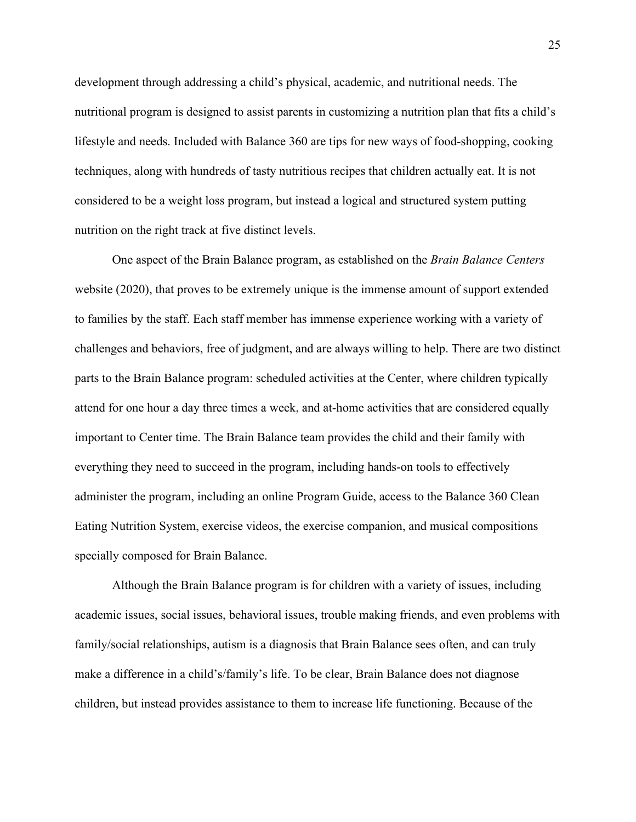development through addressing a child's physical, academic, and nutritional needs. The nutritional program is designed to assist parents in customizing a nutrition plan that fits a child's lifestyle and needs. Included with Balance 360 are tips for new ways of food-shopping, cooking techniques, along with hundreds of tasty nutritious recipes that children actually eat. It is not considered to be a weight loss program, but instead a logical and structured system putting nutrition on the right track at five distinct levels.

One aspect of the Brain Balance program, as established on the *Brain Balance Centers* website (2020), that proves to be extremely unique is the immense amount of support extended to families by the staff. Each staff member has immense experience working with a variety of challenges and behaviors, free of judgment, and are always willing to help. There are two distinct parts to the Brain Balance program: scheduled activities at the Center, where children typically attend for one hour a day three times a week, and at-home activities that are considered equally important to Center time. The Brain Balance team provides the child and their family with everything they need to succeed in the program, including hands-on tools to effectively administer the program, including an online Program Guide, access to the Balance 360 Clean Eating Nutrition System, exercise videos, the exercise companion, and musical compositions specially composed for Brain Balance.

Although the Brain Balance program is for children with a variety of issues, including academic issues, social issues, behavioral issues, trouble making friends, and even problems with family/social relationships, autism is a diagnosis that Brain Balance sees often, and can truly make a difference in a child's/family's life. To be clear, Brain Balance does not diagnose children, but instead provides assistance to them to increase life functioning. Because of the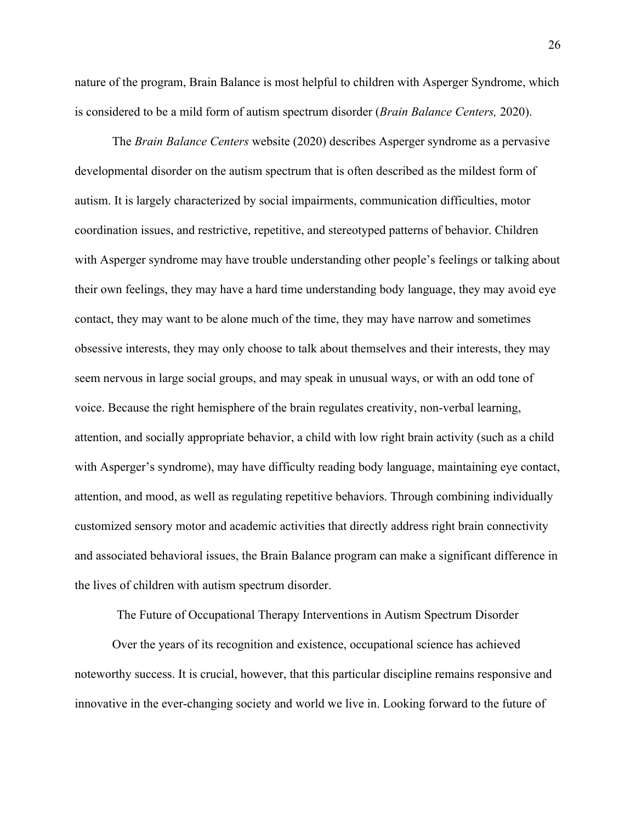nature of the program, Brain Balance is most helpful to children with Asperger Syndrome, which is considered to be a mild form of autism spectrum disorder (*Brain Balance Centers,* 2020).

The *Brain Balance Centers* website (2020) describes Asperger syndrome as a pervasive developmental disorder on the autism spectrum that is often described as the mildest form of autism. It is largely characterized by social impairments, communication difficulties, motor coordination issues, and restrictive, repetitive, and stereotyped patterns of behavior. Children with Asperger syndrome may have trouble understanding other people's feelings or talking about their own feelings, they may have a hard time understanding body language, they may avoid eye contact, they may want to be alone much of the time, they may have narrow and sometimes obsessive interests, they may only choose to talk about themselves and their interests, they may seem nervous in large social groups, and may speak in unusual ways, or with an odd tone of voice. Because the right hemisphere of the brain regulates creativity, non-verbal learning, attention, and socially appropriate behavior, a child with low right brain activity (such as a child with Asperger's syndrome), may have difficulty reading body language, maintaining eye contact, attention, and mood, as well as regulating repetitive behaviors. Through combining individually customized sensory motor and academic activities that directly address right brain connectivity and associated behavioral issues, the Brain Balance program can make a significant difference in the lives of children with autism spectrum disorder.

The Future of Occupational Therapy Interventions in Autism Spectrum Disorder

Over the years of its recognition and existence, occupational science has achieved noteworthy success. It is crucial, however, that this particular discipline remains responsive and innovative in the ever-changing society and world we live in. Looking forward to the future of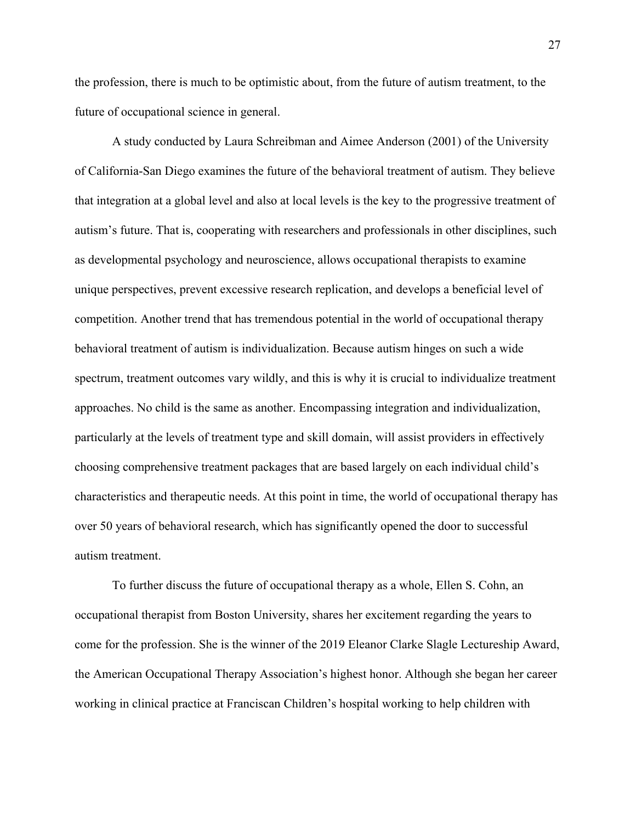the profession, there is much to be optimistic about, from the future of autism treatment, to the future of occupational science in general.

A study conducted by Laura Schreibman and Aimee Anderson (2001) of the University of California-San Diego examines the future of the behavioral treatment of autism. They believe that integration at a global level and also at local levels is the key to the progressive treatment of autism's future. That is, cooperating with researchers and professionals in other disciplines, such as developmental psychology and neuroscience, allows occupational therapists to examine unique perspectives, prevent excessive research replication, and develops a beneficial level of competition. Another trend that has tremendous potential in the world of occupational therapy behavioral treatment of autism is individualization. Because autism hinges on such a wide spectrum, treatment outcomes vary wildly, and this is why it is crucial to individualize treatment approaches. No child is the same as another. Encompassing integration and individualization, particularly at the levels of treatment type and skill domain, will assist providers in effectively choosing comprehensive treatment packages that are based largely on each individual child's characteristics and therapeutic needs. At this point in time, the world of occupational therapy has over 50 years of behavioral research, which has significantly opened the door to successful autism treatment.

To further discuss the future of occupational therapy as a whole, Ellen S. Cohn, an occupational therapist from Boston University, shares her excitement regarding the years to come for the profession. She is the winner of the 2019 Eleanor Clarke Slagle Lectureship Award, the American Occupational Therapy Association's highest honor. Although she began her career working in clinical practice at Franciscan Children's hospital working to help children with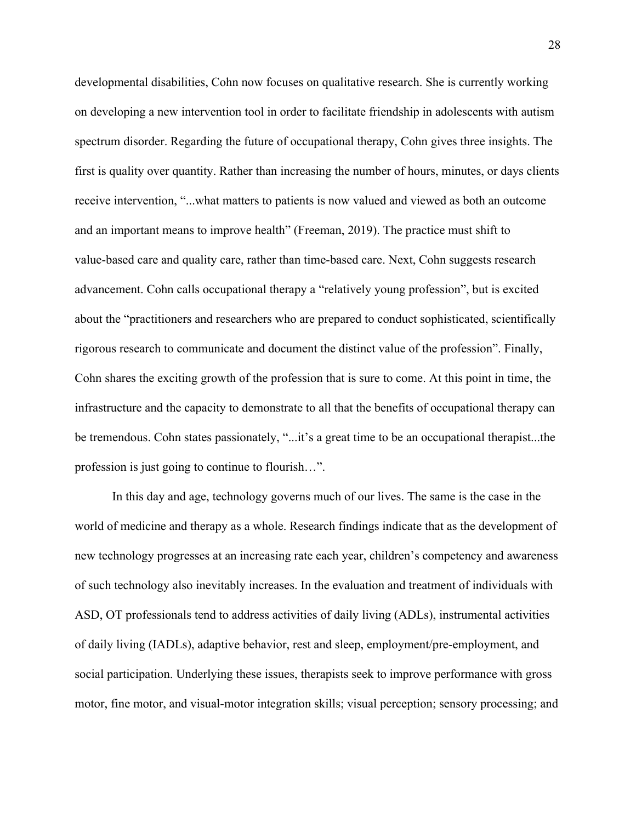developmental disabilities, Cohn now focuses on qualitative research. She is currently working on developing a new intervention tool in order to facilitate friendship in adolescents with autism spectrum disorder. Regarding the future of occupational therapy, Cohn gives three insights. The first is quality over quantity. Rather than increasing the number of hours, minutes, or days clients receive intervention, "...what matters to patients is now valued and viewed as both an outcome and an important means to improve health" (Freeman, 2019). The practice must shift to value-based care and quality care, rather than time-based care. Next, Cohn suggests research advancement. Cohn calls occupational therapy a "relatively young profession", but is excited about the "practitioners and researchers who are prepared to conduct sophisticated, scientifically rigorous research to communicate and document the distinct value of the profession". Finally, Cohn shares the exciting growth of the profession that is sure to come. At this point in time, the infrastructure and the capacity to demonstrate to all that the benefits of occupational therapy can be tremendous. Cohn states passionately, "...it's a great time to be an occupational therapist...the profession is just going to continue to flourish…".

In this day and age, technology governs much of our lives. The same is the case in the world of medicine and therapy as a whole. Research findings indicate that as the development of new technology progresses at an increasing rate each year, children's competency and awareness of such technology also inevitably increases. In the evaluation and treatment of individuals with ASD, OT professionals tend to address activities of daily living (ADLs), instrumental activities of daily living (IADLs), adaptive behavior, rest and sleep, employment/pre-employment, and social participation. Underlying these issues, therapists seek to improve performance with gross motor, fine motor, and visual-motor integration skills; visual perception; sensory processing; and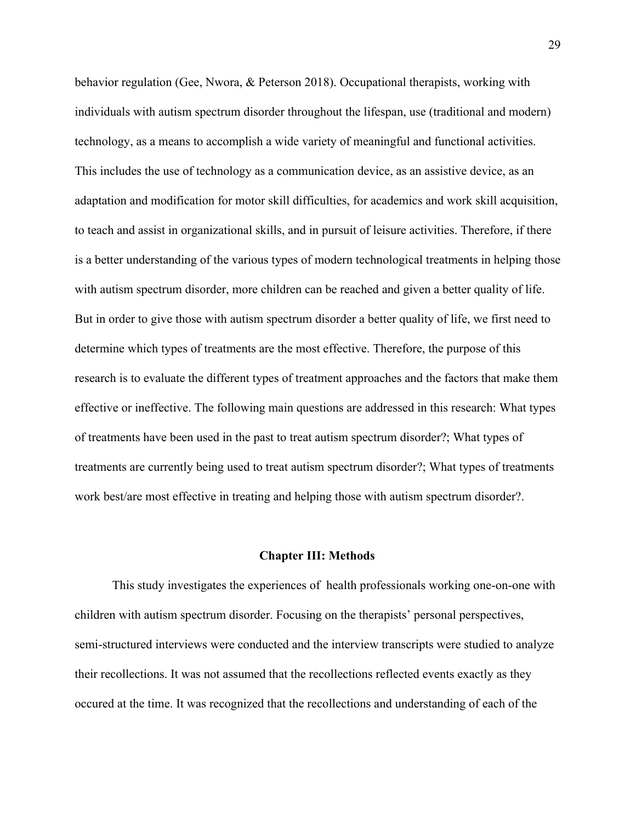behavior regulation (Gee, Nwora, & Peterson 2018). Occupational therapists, working with individuals with autism spectrum disorder throughout the lifespan, use (traditional and modern) technology, as a means to accomplish a wide variety of meaningful and functional activities. This includes the use of technology as a communication device, as an assistive device, as an adaptation and modification for motor skill difficulties, for academics and work skill acquisition, to teach and assist in organizational skills, and in pursuit of leisure activities. Therefore, if there is a better understanding of the various types of modern technological treatments in helping those with autism spectrum disorder, more children can be reached and given a better quality of life. But in order to give those with autism spectrum disorder a better quality of life, we first need to determine which types of treatments are the most effective. Therefore, the purpose of this research is to evaluate the different types of treatment approaches and the factors that make them effective or ineffective. The following main questions are addressed in this research: What types of treatments have been used in the past to treat autism spectrum disorder?; What types of treatments are currently being used to treat autism spectrum disorder?; What types of treatments work best/are most effective in treating and helping those with autism spectrum disorder?.

#### **Chapter III: Methods**

This study investigates the experiences of health professionals working one-on-one with children with autism spectrum disorder. Focusing on the therapists' personal perspectives, semi-structured interviews were conducted and the interview transcripts were studied to analyze their recollections. It was not assumed that the recollections reflected events exactly as they occured at the time. It was recognized that the recollections and understanding of each of the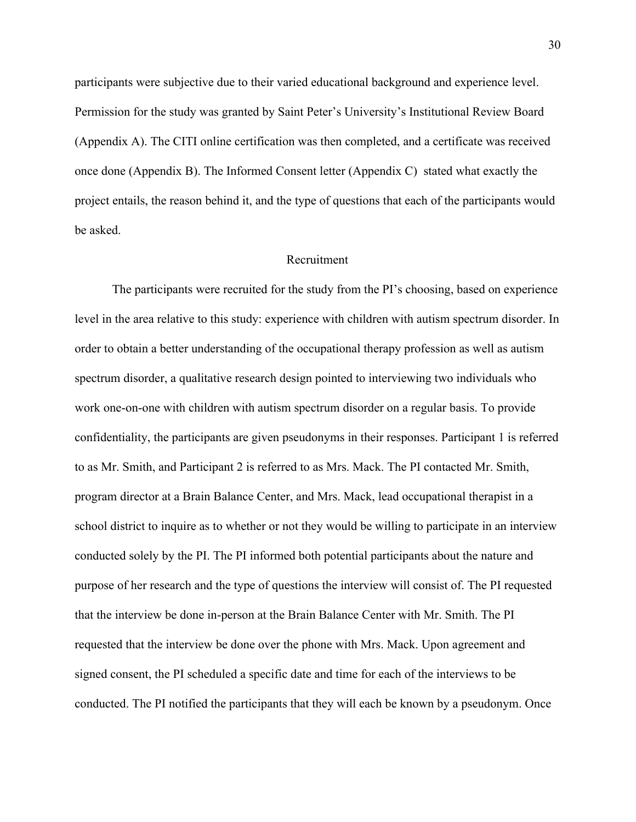participants were subjective due to their varied educational background and experience level. Permission for the study was granted by Saint Peter's University's Institutional Review Board (Appendix A). The CITI online certification was then completed, and a certificate was received once done (Appendix B). The Informed Consent letter (Appendix C) stated what exactly the project entails, the reason behind it, and the type of questions that each of the participants would be asked.

#### Recruitment

The participants were recruited for the study from the PI's choosing, based on experience level in the area relative to this study: experience with children with autism spectrum disorder. In order to obtain a better understanding of the occupational therapy profession as well as autism spectrum disorder, a qualitative research design pointed to interviewing two individuals who work one-on-one with children with autism spectrum disorder on a regular basis. To provide confidentiality, the participants are given pseudonyms in their responses. Participant 1 is referred to as Mr. Smith, and Participant 2 is referred to as Mrs. Mack. The PI contacted Mr. Smith, program director at a Brain Balance Center, and Mrs. Mack, lead occupational therapist in a school district to inquire as to whether or not they would be willing to participate in an interview conducted solely by the PI. The PI informed both potential participants about the nature and purpose of her research and the type of questions the interview will consist of. The PI requested that the interview be done in-person at the Brain Balance Center with Mr. Smith. The PI requested that the interview be done over the phone with Mrs. Mack. Upon agreement and signed consent, the PI scheduled a specific date and time for each of the interviews to be conducted. The PI notified the participants that they will each be known by a pseudonym. Once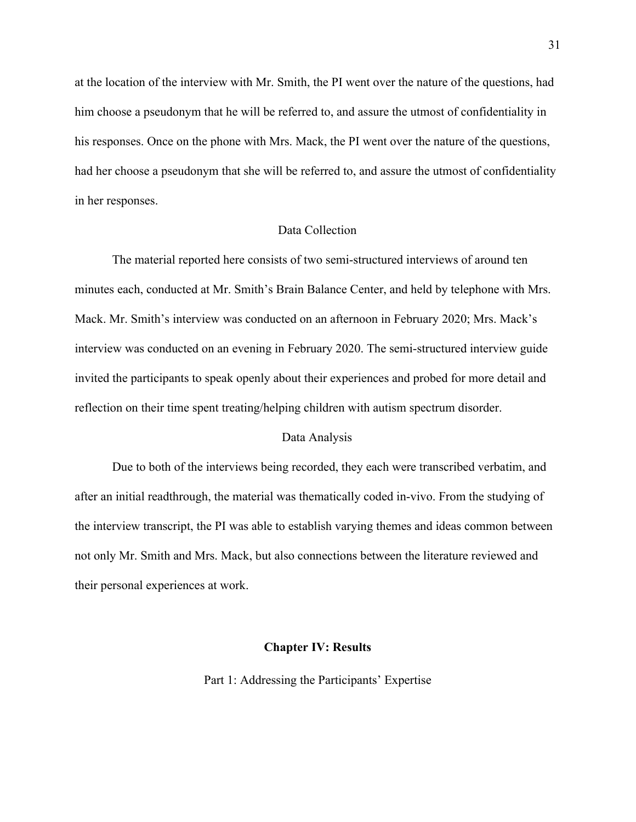at the location of the interview with Mr. Smith, the PI went over the nature of the questions, had him choose a pseudonym that he will be referred to, and assure the utmost of confidentiality in his responses. Once on the phone with Mrs. Mack, the PI went over the nature of the questions, had her choose a pseudonym that she will be referred to, and assure the utmost of confidentiality in her responses.

### Data Collection

The material reported here consists of two semi-structured interviews of around ten minutes each, conducted at Mr. Smith's Brain Balance Center, and held by telephone with Mrs. Mack. Mr. Smith's interview was conducted on an afternoon in February 2020; Mrs. Mack's interview was conducted on an evening in February 2020. The semi-structured interview guide invited the participants to speak openly about their experiences and probed for more detail and reflection on their time spent treating/helping children with autism spectrum disorder.

### Data Analysis

Due to both of the interviews being recorded, they each were transcribed verbatim, and after an initial readthrough, the material was thematically coded in-vivo. From the studying of the interview transcript, the PI was able to establish varying themes and ideas common between not only Mr. Smith and Mrs. Mack, but also connections between the literature reviewed and their personal experiences at work.

#### **Chapter IV: Results**

Part 1: Addressing the Participants' Expertise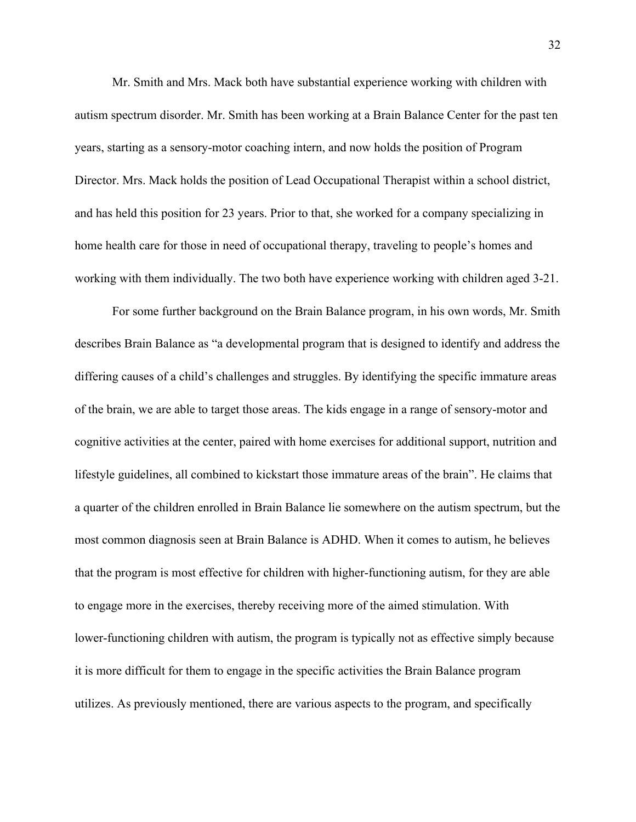Mr. Smith and Mrs. Mack both have substantial experience working with children with autism spectrum disorder. Mr. Smith has been working at a Brain Balance Center for the past ten years, starting as a sensory-motor coaching intern, and now holds the position of Program Director. Mrs. Mack holds the position of Lead Occupational Therapist within a school district, and has held this position for 23 years. Prior to that, she worked for a company specializing in home health care for those in need of occupational therapy, traveling to people's homes and working with them individually. The two both have experience working with children aged 3-21.

For some further background on the Brain Balance program, in his own words, Mr. Smith describes Brain Balance as "a developmental program that is designed to identify and address the differing causes of a child's challenges and struggles. By identifying the specific immature areas of the brain, we are able to target those areas. The kids engage in a range of sensory-motor and cognitive activities at the center, paired with home exercises for additional support, nutrition and lifestyle guidelines, all combined to kickstart those immature areas of the brain". He claims that a quarter of the children enrolled in Brain Balance lie somewhere on the autism spectrum, but the most common diagnosis seen at Brain Balance is ADHD. When it comes to autism, he believes that the program is most effective for children with higher-functioning autism, for they are able to engage more in the exercises, thereby receiving more of the aimed stimulation. With lower-functioning children with autism, the program is typically not as effective simply because it is more difficult for them to engage in the specific activities the Brain Balance program utilizes. As previously mentioned, there are various aspects to the program, and specifically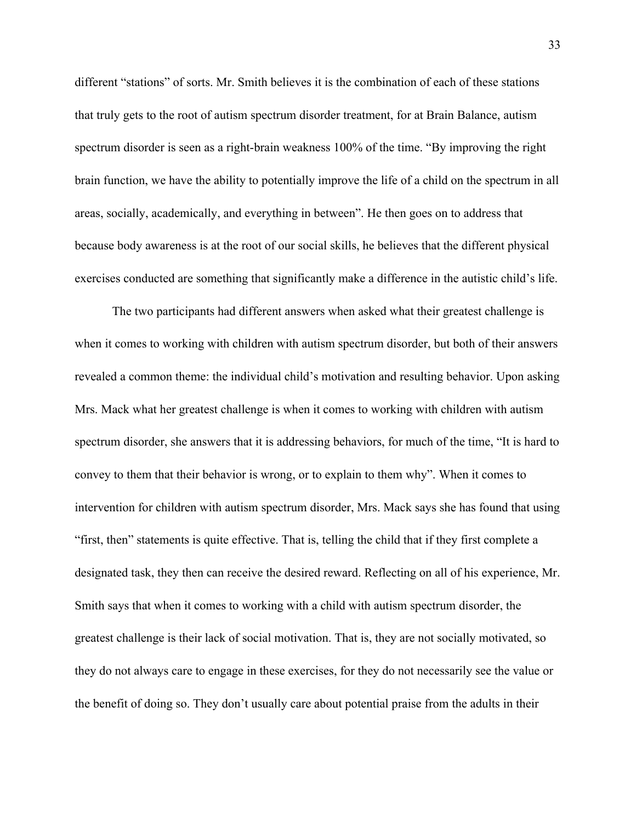different "stations" of sorts. Mr. Smith believes it is the combination of each of these stations that truly gets to the root of autism spectrum disorder treatment, for at Brain Balance, autism spectrum disorder is seen as a right-brain weakness 100% of the time. "By improving the right brain function, we have the ability to potentially improve the life of a child on the spectrum in all areas, socially, academically, and everything in between". He then goes on to address that because body awareness is at the root of our social skills, he believes that the different physical exercises conducted are something that significantly make a difference in the autistic child's life.

The two participants had different answers when asked what their greatest challenge is when it comes to working with children with autism spectrum disorder, but both of their answers revealed a common theme: the individual child's motivation and resulting behavior. Upon asking Mrs. Mack what her greatest challenge is when it comes to working with children with autism spectrum disorder, she answers that it is addressing behaviors, for much of the time, "It is hard to convey to them that their behavior is wrong, or to explain to them why". When it comes to intervention for children with autism spectrum disorder, Mrs. Mack says she has found that using "first, then" statements is quite effective. That is, telling the child that if they first complete a designated task, they then can receive the desired reward. Reflecting on all of his experience, Mr. Smith says that when it comes to working with a child with autism spectrum disorder, the greatest challenge is their lack of social motivation. That is, they are not socially motivated, so they do not always care to engage in these exercises, for they do not necessarily see the value or the benefit of doing so. They don't usually care about potential praise from the adults in their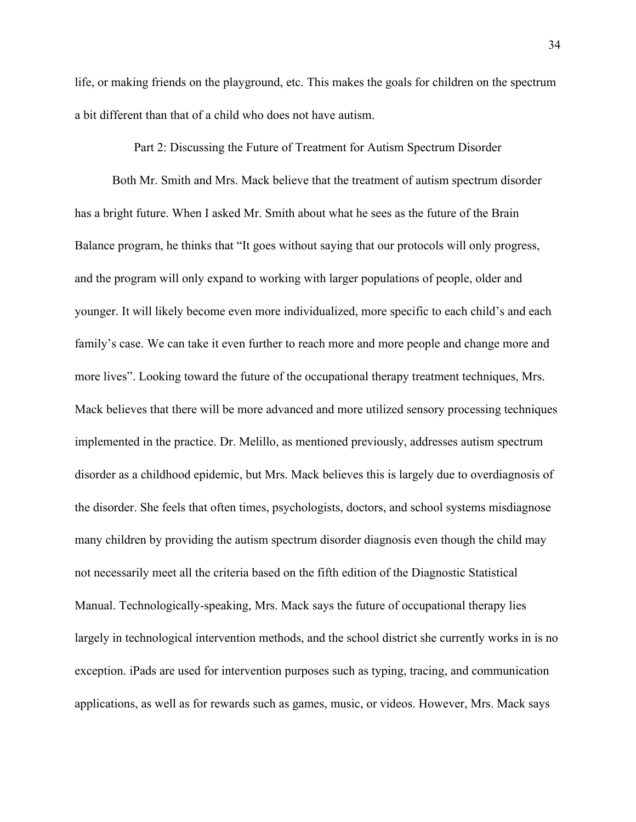life, or making friends on the playground, etc. This makes the goals for children on the spectrum a bit different than that of a child who does not have autism.

Part 2: Discussing the Future of Treatment for Autism Spectrum Disorder

Both Mr. Smith and Mrs. Mack believe that the treatment of autism spectrum disorder has a bright future. When I asked Mr. Smith about what he sees as the future of the Brain Balance program, he thinks that "It goes without saying that our protocols will only progress, and the program will only expand to working with larger populations of people, older and younger. It will likely become even more individualized, more specific to each child's and each family's case. We can take it even further to reach more and more people and change more and more lives". Looking toward the future of the occupational therapy treatment techniques, Mrs. Mack believes that there will be more advanced and more utilized sensory processing techniques implemented in the practice. Dr. Melillo, as mentioned previously, addresses autism spectrum disorder as a childhood epidemic, but Mrs. Mack believes this is largely due to overdiagnosis of the disorder. She feels that often times, psychologists, doctors, and school systems misdiagnose many children by providing the autism spectrum disorder diagnosis even though the child may not necessarily meet all the criteria based on the fifth edition of the Diagnostic Statistical Manual. Technologically-speaking, Mrs. Mack says the future of occupational therapy lies largely in technological intervention methods, and the school district she currently works in is no exception. iPads are used for intervention purposes such as typing, tracing, and communication applications, as well as for rewards such as games, music, or videos. However, Mrs. Mack says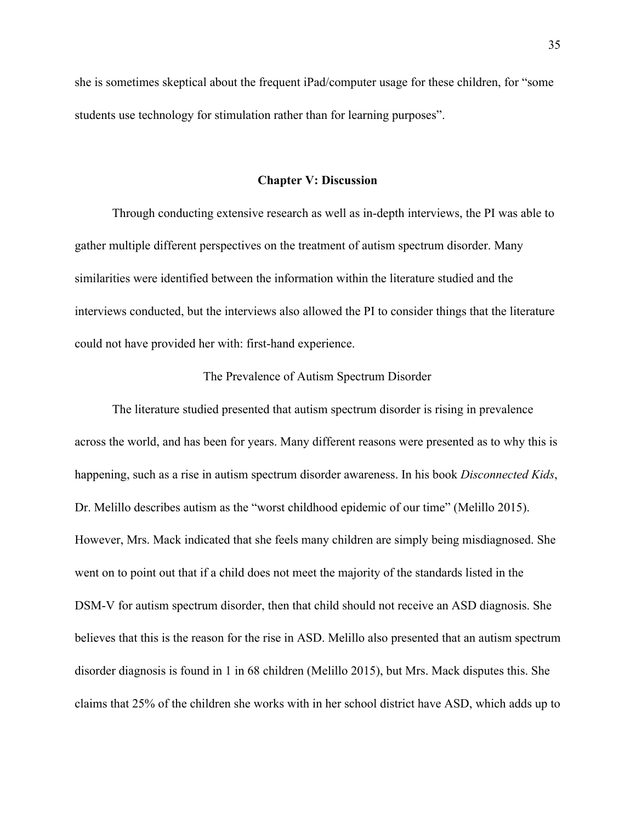she is sometimes skeptical about the frequent iPad/computer usage for these children, for "some students use technology for stimulation rather than for learning purposes".

#### **Chapter V: Discussion**

Through conducting extensive research as well as in-depth interviews, the PI was able to gather multiple different perspectives on the treatment of autism spectrum disorder. Many similarities were identified between the information within the literature studied and the interviews conducted, but the interviews also allowed the PI to consider things that the literature could not have provided her with: first-hand experience.

## The Prevalence of Autism Spectrum Disorder

The literature studied presented that autism spectrum disorder is rising in prevalence across the world, and has been for years. Many different reasons were presented as to why this is happening, such as a rise in autism spectrum disorder awareness. In his book *Disconnected Kids*, Dr. Melillo describes autism as the "worst childhood epidemic of our time" (Melillo 2015). However, Mrs. Mack indicated that she feels many children are simply being misdiagnosed. She went on to point out that if a child does not meet the majority of the standards listed in the DSM-V for autism spectrum disorder, then that child should not receive an ASD diagnosis. She believes that this is the reason for the rise in ASD. Melillo also presented that an autism spectrum disorder diagnosis is found in 1 in 68 children (Melillo 2015), but Mrs. Mack disputes this. She claims that 25% of the children she works with in her school district have ASD, which adds up to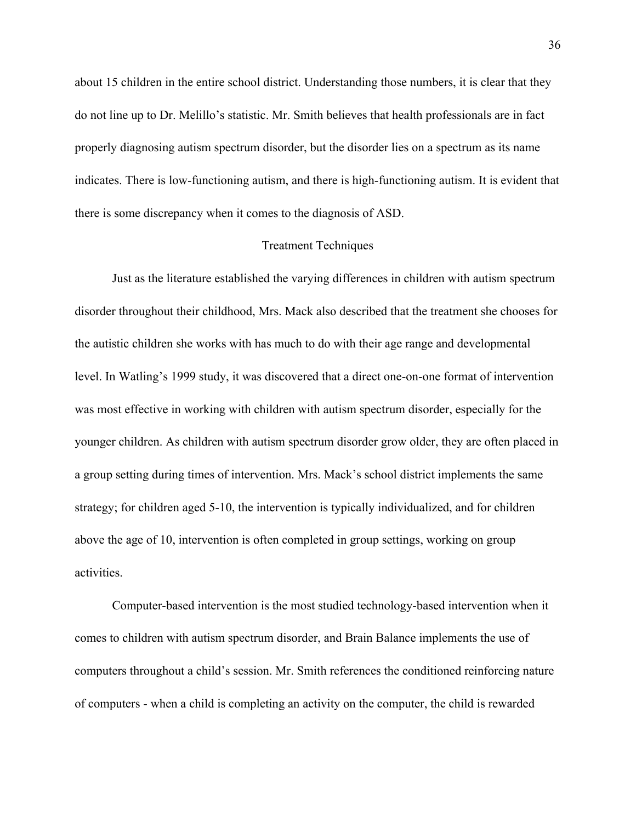about 15 children in the entire school district. Understanding those numbers, it is clear that they do not line up to Dr. Melillo's statistic. Mr. Smith believes that health professionals are in fact properly diagnosing autism spectrum disorder, but the disorder lies on a spectrum as its name indicates. There is low-functioning autism, and there is high-functioning autism. It is evident that there is some discrepancy when it comes to the diagnosis of ASD.

#### Treatment Techniques

Just as the literature established the varying differences in children with autism spectrum disorder throughout their childhood, Mrs. Mack also described that the treatment she chooses for the autistic children she works with has much to do with their age range and developmental level. In Watling's 1999 study, it was discovered that a direct one-on-one format of intervention was most effective in working with children with autism spectrum disorder, especially for the younger children. As children with autism spectrum disorder grow older, they are often placed in a group setting during times of intervention. Mrs. Mack's school district implements the same strategy; for children aged 5-10, the intervention is typically individualized, and for children above the age of 10, intervention is often completed in group settings, working on group activities.

Computer-based intervention is the most studied technology-based intervention when it comes to children with autism spectrum disorder, and Brain Balance implements the use of computers throughout a child's session. Mr. Smith references the conditioned reinforcing nature of computers - when a child is completing an activity on the computer, the child is rewarded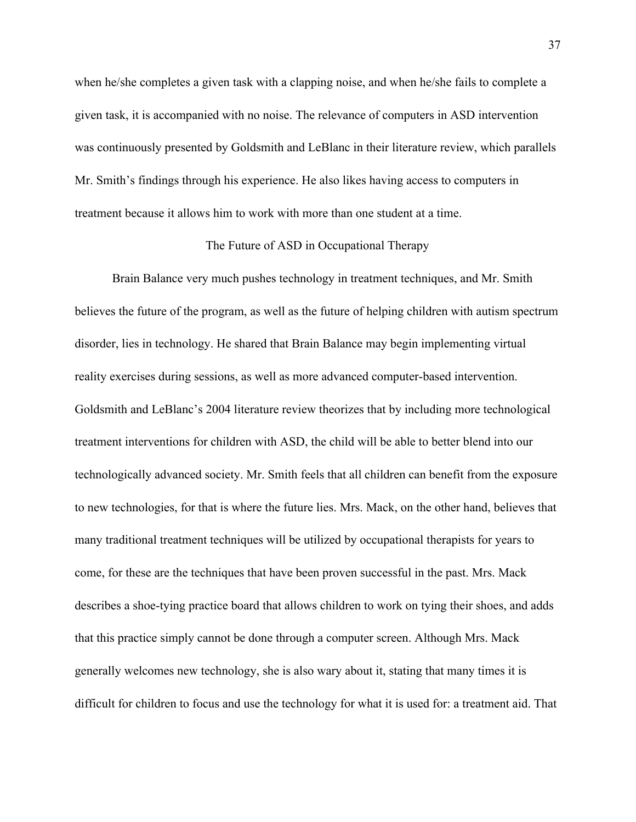when he/she completes a given task with a clapping noise, and when he/she fails to complete a given task, it is accompanied with no noise. The relevance of computers in ASD intervention was continuously presented by Goldsmith and LeBlanc in their literature review, which parallels Mr. Smith's findings through his experience. He also likes having access to computers in treatment because it allows him to work with more than one student at a time.

## The Future of ASD in Occupational Therapy

Brain Balance very much pushes technology in treatment techniques, and Mr. Smith believes the future of the program, as well as the future of helping children with autism spectrum disorder, lies in technology. He shared that Brain Balance may begin implementing virtual reality exercises during sessions, as well as more advanced computer-based intervention. Goldsmith and LeBlanc's 2004 literature review theorizes that by including more technological treatment interventions for children with ASD, the child will be able to better blend into our technologically advanced society. Mr. Smith feels that all children can benefit from the exposure to new technologies, for that is where the future lies. Mrs. Mack, on the other hand, believes that many traditional treatment techniques will be utilized by occupational therapists for years to come, for these are the techniques that have been proven successful in the past. Mrs. Mack describes a shoe-tying practice board that allows children to work on tying their shoes, and adds that this practice simply cannot be done through a computer screen. Although Mrs. Mack generally welcomes new technology, she is also wary about it, stating that many times it is difficult for children to focus and use the technology for what it is used for: a treatment aid. That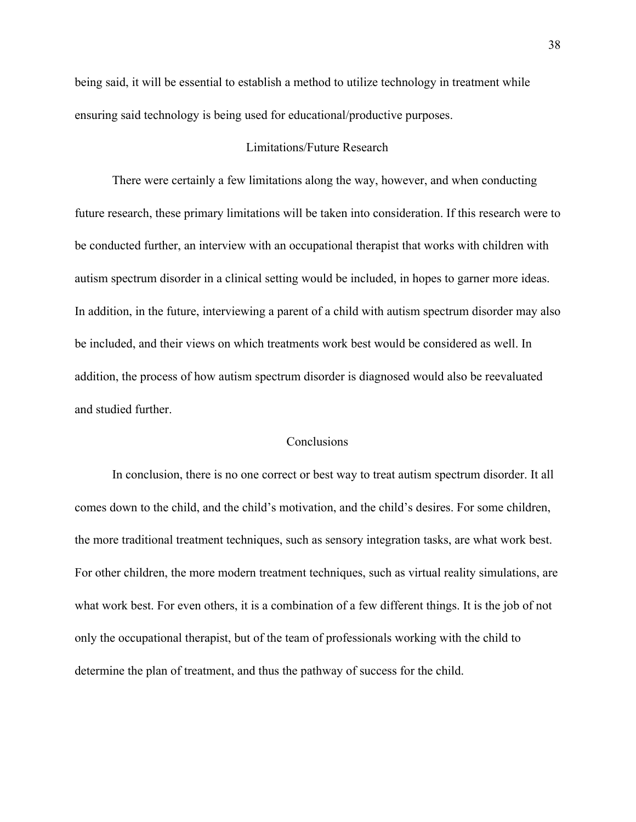being said, it will be essential to establish a method to utilize technology in treatment while ensuring said technology is being used for educational/productive purposes.

#### Limitations/Future Research

There were certainly a few limitations along the way, however, and when conducting future research, these primary limitations will be taken into consideration. If this research were to be conducted further, an interview with an occupational therapist that works with children with autism spectrum disorder in a clinical setting would be included, in hopes to garner more ideas. In addition, in the future, interviewing a parent of a child with autism spectrum disorder may also be included, and their views on which treatments work best would be considered as well. In addition, the process of how autism spectrum disorder is diagnosed would also be reevaluated and studied further.

## **Conclusions**

In conclusion, there is no one correct or best way to treat autism spectrum disorder. It all comes down to the child, and the child's motivation, and the child's desires. For some children, the more traditional treatment techniques, such as sensory integration tasks, are what work best. For other children, the more modern treatment techniques, such as virtual reality simulations, are what work best. For even others, it is a combination of a few different things. It is the job of not only the occupational therapist, but of the team of professionals working with the child to determine the plan of treatment, and thus the pathway of success for the child.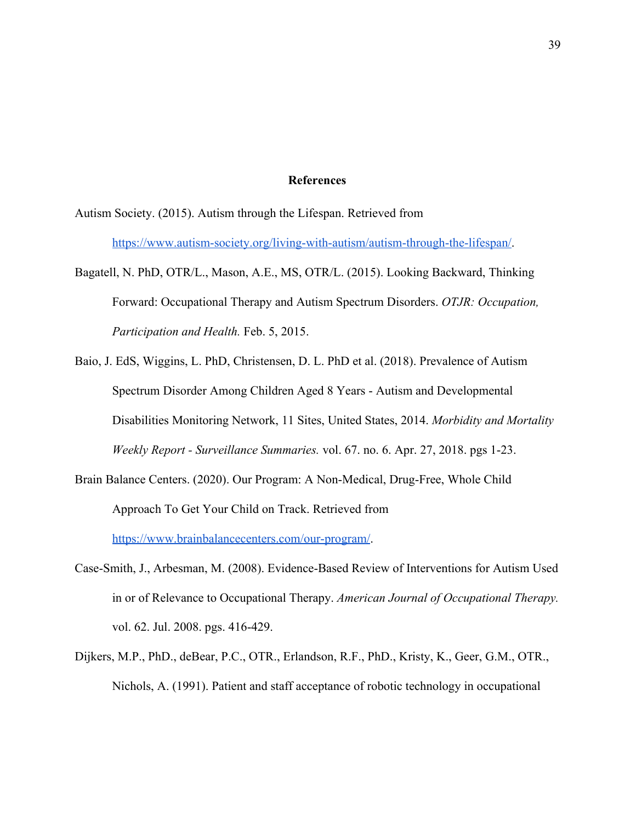#### **References**

Autism Society. (2015). Autism through the Lifespan. Retrieved from

[https://www.autism-society.org/living-with-autism/autism-through-the-lifespan/.](https://www.autism-society.org/living-with-autism/autism-through-the-lifespan/)

- Bagatell, N. PhD, OTR/L., Mason, A.E., MS, OTR/L. (2015). Looking Backward, Thinking Forward: Occupational Therapy and Autism Spectrum Disorders. *OTJR: Occupation, Participation and Health.* Feb. 5, 2015.
- Baio, J. EdS, Wiggins, L. PhD, Christensen, D. L. PhD et al. (2018). Prevalence of Autism Spectrum Disorder Among Children Aged 8 Years - Autism and Developmental Disabilities Monitoring Network, 11 Sites, United States, 2014. *Morbidity and Mortality Weekly Report - Surveillance Summaries.* vol. 67. no. 6. Apr. 27, 2018. pgs 1-23.
- Brain Balance Centers. (2020). Our Program: A Non-Medical, Drug-Free, Whole Child Approach To Get Your Child on Track. Retrieved from <https://www.brainbalancecenters.com/our-program/>.
- Case-Smith, J., Arbesman, M. (2008). Evidence-Based Review of Interventions for Autism Used in or of Relevance to Occupational Therapy. *American Journal of Occupational Therapy.* vol. 62. Jul. 2008. pgs. 416-429.
- Dijkers, M.P., PhD., deBear, P.C., OTR., Erlandson, R.F., PhD., Kristy, K., Geer, G.M., OTR., Nichols, A. (1991). Patient and staff acceptance of robotic technology in occupational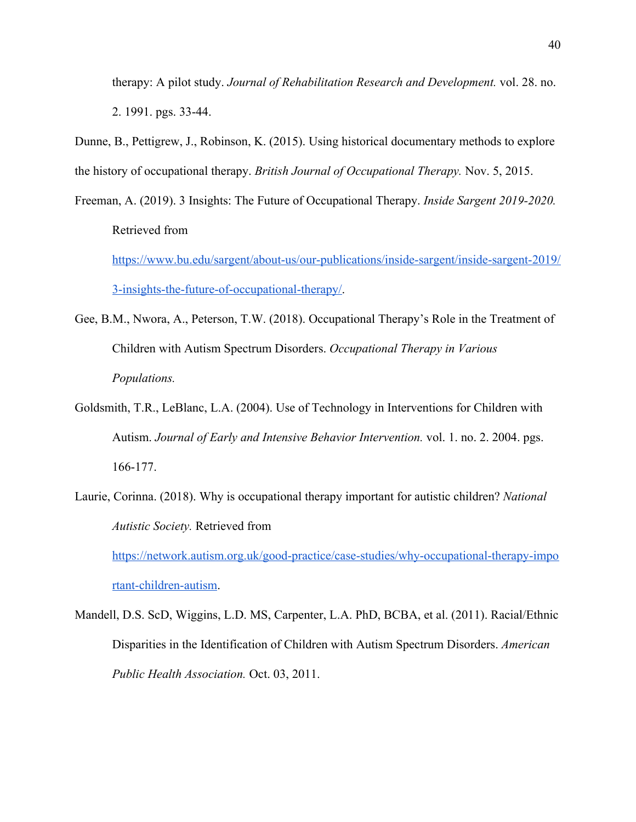therapy: A pilot study. *Journal of Rehabilitation Research and Development.* vol. 28. no. 2. 1991. pgs. 33-44.

Dunne, B., Pettigrew, J., Robinson, K. (2015). Using historical documentary methods to explore the history of occupational therapy. *British Journal of Occupational Therapy.* Nov. 5, 2015.

- Freeman, A. (2019). 3 Insights: The Future of Occupational Therapy. *Inside Sargent 2019-2020.* Retrieved from [https://www.bu.edu/sargent/about-us/our-publications/inside-sargent/inside-sargent-2019/](https://www.bu.edu/sargent/about-us/our-publications/inside-sargent/inside-sargent-2019/3-insights-the-future-of-occupational-therapy/) [3-insights-the-future-of-occupational-therapy/](https://www.bu.edu/sargent/about-us/our-publications/inside-sargent/inside-sargent-2019/3-insights-the-future-of-occupational-therapy/).
- Gee, B.M., Nwora, A., Peterson, T.W. (2018). Occupational Therapy's Role in the Treatment of Children with Autism Spectrum Disorders. *Occupational Therapy in Various Populations.*
- Goldsmith, T.R., LeBlanc, L.A. (2004). Use of Technology in Interventions for Children with Autism. *Journal of Early and Intensive Behavior Intervention.* vol. 1. no. 2. 2004. pgs. 166-177.
- Laurie, Corinna. (2018). Why is occupational therapy important for autistic children? *National Autistic Society.* Retrieved from [https://network.autism.org.uk/good-practice/case-studies/why-occupational-therapy-impo](https://network.autism.org.uk/good-practice/case-studies/why-occupational-therapy-important-children-autism) [rtant-children-autism](https://network.autism.org.uk/good-practice/case-studies/why-occupational-therapy-important-children-autism).
- Mandell, D.S. ScD, Wiggins, L.D. MS, Carpenter, L.A. PhD, BCBA, et al. (2011). Racial/Ethnic Disparities in the Identification of Children with Autism Spectrum Disorders. *American Public Health Association.* Oct. 03, 2011.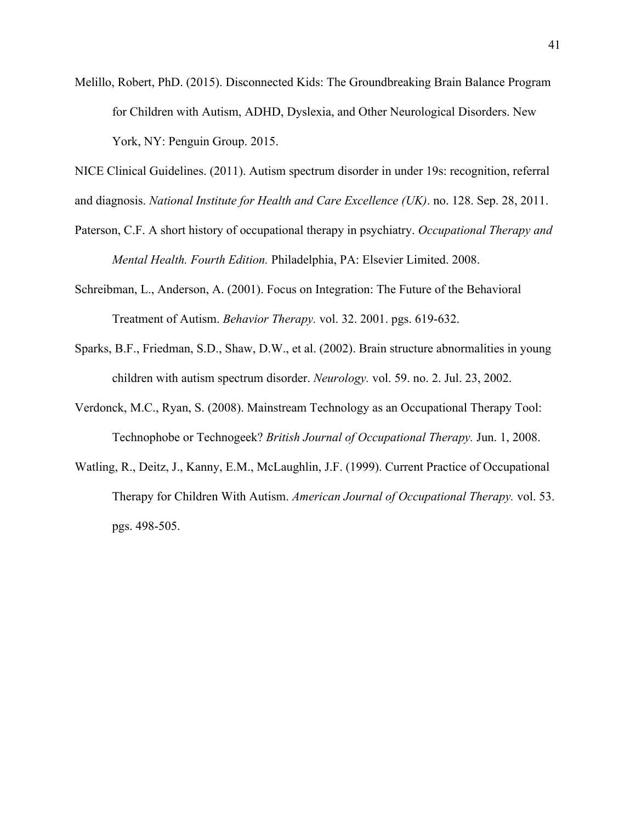Melillo, Robert, PhD. (2015). Disconnected Kids: The Groundbreaking Brain Balance Program for Children with Autism, ADHD, Dyslexia, and Other Neurological Disorders. New York, NY: Penguin Group. 2015.

NICE Clinical Guidelines. (2011). Autism spectrum disorder in under 19s: recognition, referral and diagnosis. *National Institute for Health and Care Excellence (UK)*. no. 128. Sep. 28, 2011.

- Paterson, C.F. A short history of occupational therapy in psychiatry. *Occupational Therapy and Mental Health. Fourth Edition.* Philadelphia, PA: Elsevier Limited. 2008.
- Schreibman, L., Anderson, A. (2001). Focus on Integration: The Future of the Behavioral Treatment of Autism. *Behavior Therapy.* vol. 32. 2001. pgs. 619-632.
- Sparks, B.F., Friedman, S.D., Shaw, D.W., et al. (2002). Brain structure abnormalities in young children with autism spectrum disorder. *Neurology.* vol. 59. no. 2. Jul. 23, 2002.
- Verdonck, M.C., Ryan, S. (2008). Mainstream Technology as an Occupational Therapy Tool: Technophobe or Technogeek? *British Journal of Occupational Therapy.* Jun. 1, 2008.
- Watling, R., Deitz, J., Kanny, E.M., McLaughlin, J.F. (1999). Current Practice of Occupational Therapy for Children With Autism. *American Journal of Occupational Therapy.* vol. 53. pgs. 498-505.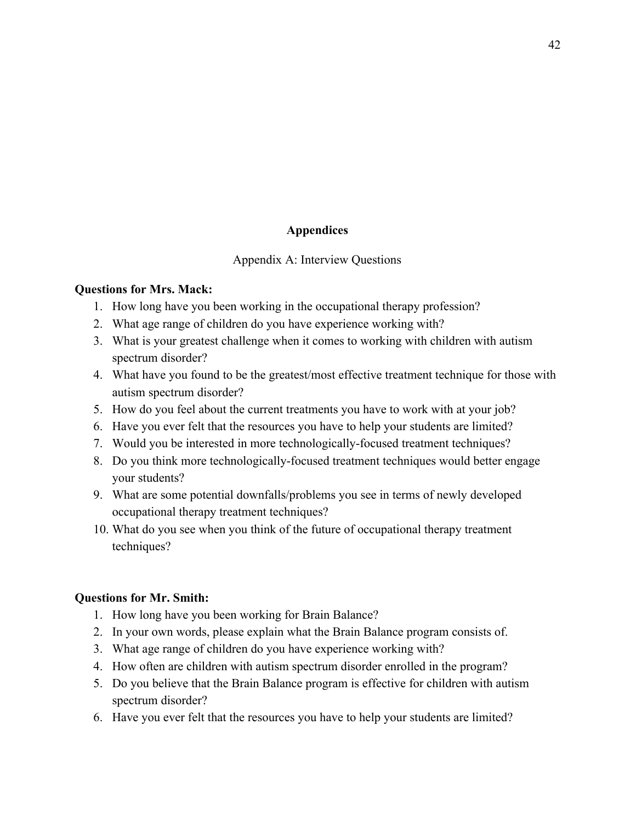## **Appendices**

### Appendix A: Interview Questions

### **Questions for Mrs. Mack:**

- 1. How long have you been working in the occupational therapy profession?
- 2. What age range of children do you have experience working with?
- 3. What is your greatest challenge when it comes to working with children with autism spectrum disorder?
- 4. What have you found to be the greatest/most effective treatment technique for those with autism spectrum disorder?
- 5. How do you feel about the current treatments you have to work with at your job?
- 6. Have you ever felt that the resources you have to help your students are limited?
- 7. Would you be interested in more technologically-focused treatment techniques?
- 8. Do you think more technologically-focused treatment techniques would better engage your students?
- 9. What are some potential downfalls/problems you see in terms of newly developed occupational therapy treatment techniques?
- 10. What do you see when you think of the future of occupational therapy treatment techniques?

## **Questions for Mr. Smith:**

- 1. How long have you been working for Brain Balance?
- 2. In your own words, please explain what the Brain Balance program consists of.
- 3. What age range of children do you have experience working with?
- 4. How often are children with autism spectrum disorder enrolled in the program?
- 5. Do you believe that the Brain Balance program is effective for children with autism spectrum disorder?
- 6. Have you ever felt that the resources you have to help your students are limited?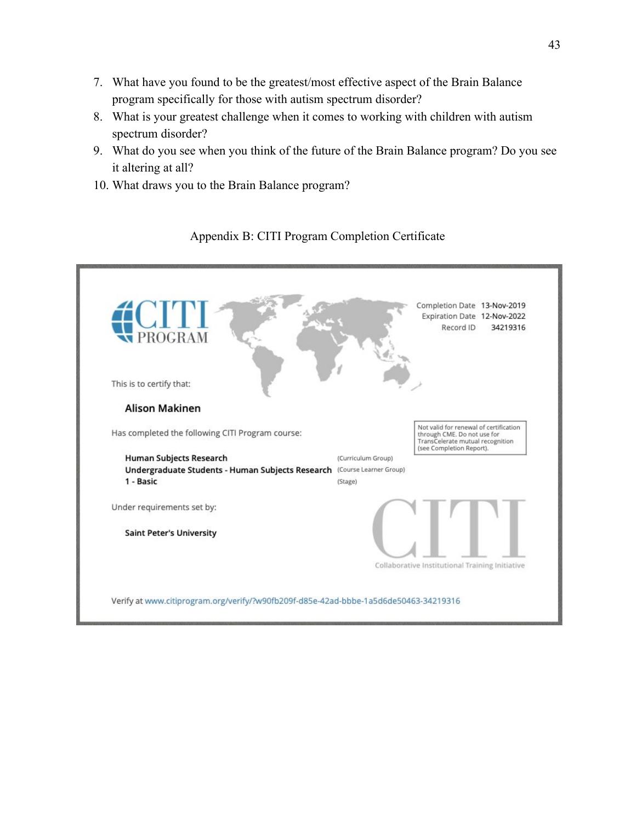- 7. What have you found to be the greatest/most effective aspect of the Brain Balance program specifically for those with autism spectrum disorder?
- 8. What is your greatest challenge when it comes to working with children with autism spectrum disorder?
- 9. What do you see when you think of the future of the Brain Balance program? Do you see it altering at all?
- 10. What draws you to the Brain Balance program?



## Appendix B: CITI Program Completion Certificate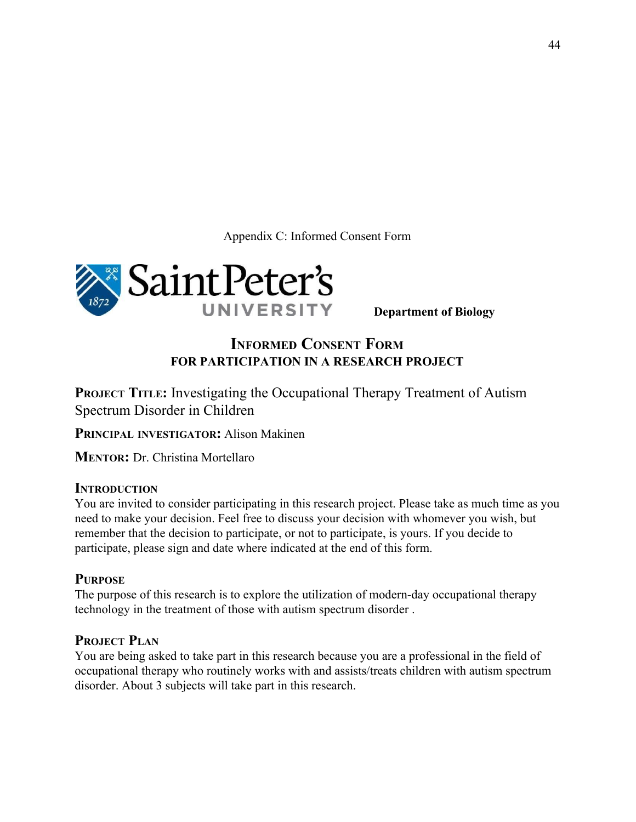Appendix C: Informed Consent Form



**Department of Biology**

# **INFORMED CONSENT FORM FOR PARTICIPATION IN A RESEARCH PROJECT**

**PROJECT TITLE:** Investigating the Occupational Therapy Treatment of Autism Spectrum Disorder in Children

**PRINCIPAL INVESTIGATOR:** Alison Makinen

**MENTOR:** Dr. Christina Mortellaro

## **INTRODUCTION**

You are invited to consider participating in this research project. Please take as much time as you need to make your decision. Feel free to discuss your decision with whomever you wish, but remember that the decision to participate, or not to participate, is yours. If you decide to participate, please sign and date where indicated at the end of this form.

## **PURPOSE**

The purpose of this research is to explore the utilization of modern-day occupational therapy technology in the treatment of those with autism spectrum disorder .

## **PROJECT PLAN**

You are being asked to take part in this research because you are a professional in the field of occupational therapy who routinely works with and assists/treats children with autism spectrum disorder. About 3 subjects will take part in this research.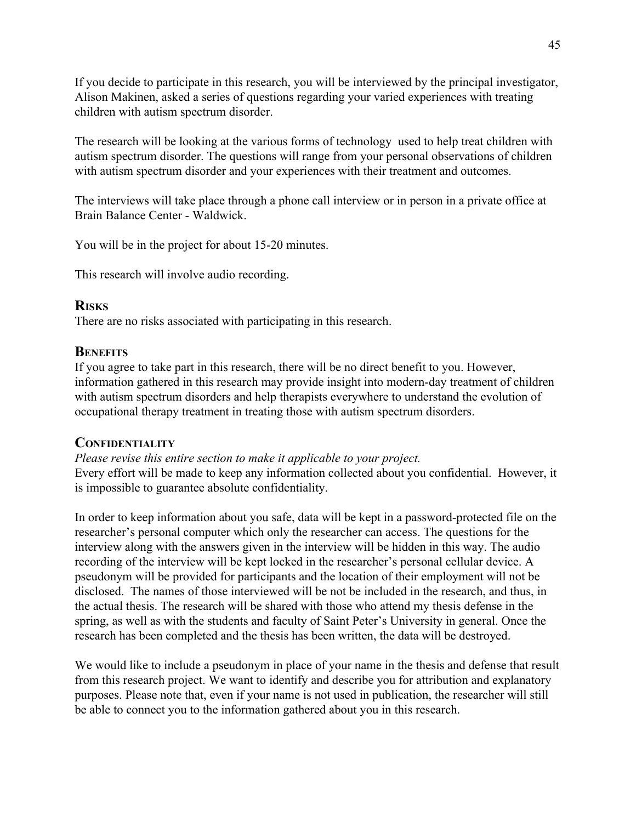If you decide to participate in this research, you will be interviewed by the principal investigator, Alison Makinen, asked a series of questions regarding your varied experiences with treating children with autism spectrum disorder.

The research will be looking at the various forms of technology used to help treat children with autism spectrum disorder. The questions will range from your personal observations of children with autism spectrum disorder and your experiences with their treatment and outcomes.

The interviews will take place through a phone call interview or in person in a private office at Brain Balance Center - Waldwick.

You will be in the project for about 15-20 minutes.

This research will involve audio recording.

## **RISKS**

There are no risks associated with participating in this research.

## **BENEFITS**

If you agree to take part in this research, there will be no direct benefit to you. However, information gathered in this research may provide insight into modern-day treatment of children with autism spectrum disorders and help therapists everywhere to understand the evolution of occupational therapy treatment in treating those with autism spectrum disorders.

## **CONFIDENTIALITY**

*Please revise this entire section to make it applicable to your project.* Every effort will be made to keep any information collected about you confidential. However, it is impossible to guarantee absolute confidentiality.

In order to keep information about you safe, data will be kept in a password-protected file on the researcher's personal computer which only the researcher can access. The questions for the interview along with the answers given in the interview will be hidden in this way. The audio recording of the interview will be kept locked in the researcher's personal cellular device. A pseudonym will be provided for participants and the location of their employment will not be disclosed. The names of those interviewed will be not be included in the research, and thus, in the actual thesis. The research will be shared with those who attend my thesis defense in the spring, as well as with the students and faculty of Saint Peter's University in general. Once the research has been completed and the thesis has been written, the data will be destroyed.

We would like to include a pseudonym in place of your name in the thesis and defense that result from this research project. We want to identify and describe you for attribution and explanatory purposes. Please note that, even if your name is not used in publication, the researcher will still be able to connect you to the information gathered about you in this research.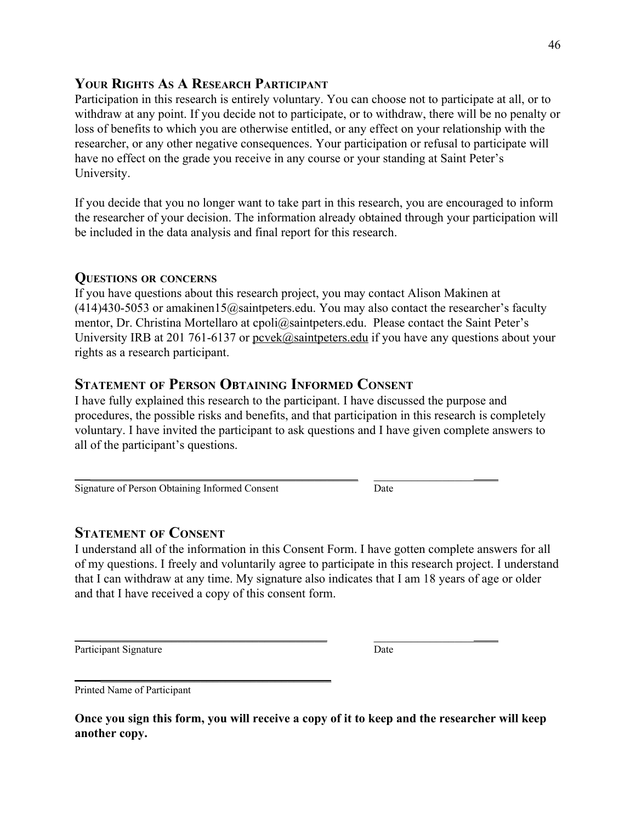# **YOUR RIGHTS A<sup>S</sup> A RESEARCH PARTICIPANT**

Participation in this research is entirely voluntary. You can choose not to participate at all, or to withdraw at any point. If you decide not to participate, or to withdraw, there will be no penalty or loss of benefits to which you are otherwise entitled, or any effect on your relationship with the researcher, or any other negative consequences. Your participation or refusal to participate will have no effect on the grade you receive in any course or your standing at Saint Peter's University.

If you decide that you no longer want to take part in this research, you are encouraged to inform the researcher of your decision. The information already obtained through your participation will be included in the data analysis and final report for this research.

## **QUESTIONS OR CONCERNS**

If you have questions about this research project, you may contact Alison Makinen at  $(414)430-5053$  or amakinen15@saintpeters.edu. You may also contact the researcher's faculty mentor, Dr. Christina Mortellaro at cpoli@saintpeters.edu. Please contact the Saint Peter's University IRB at 201 761-6137 or [pcvek@saintpeters.edu](mailto:pcvek@saintpeters.edu) if you have any questions about your rights as a research participant.

# **STATEMENT OF PERSON OBTAINING INFORMED CONSENT**

I have fully explained this research to the participant. I have discussed the purpose and procedures, the possible risks and benefits, and that participation in this research is completely voluntary. I have invited the participant to ask questions and I have given complete answers to all of the participant's questions.

\_\_\_\_\_\_\_\_\_\_\_\_\_\_\_\_\_\_\_\_\_\_\_\_\_\_\_\_\_\_\_\_\_\_\_\_\_\_\_\_\_\_\_\_\_\_ \_\_\_\_\_\_\_\_\_\_\_\_\_\_\_\_\_\_\_\_

\_\_\_\_\_\_\_\_\_\_\_\_\_\_\_\_\_\_\_\_\_\_\_\_\_\_\_\_\_\_\_\_\_\_\_\_\_\_\_\_\_ \_\_\_\_\_\_\_\_\_\_\_\_\_\_\_\_\_\_\_\_

Signature of Person Obtaining Informed Consent Date

\_\_\_\_\_\_\_\_\_\_\_\_\_\_\_\_\_\_\_\_\_\_\_\_\_\_\_\_\_\_\_\_\_\_\_\_\_\_\_\_\_\_

# **STATEMENT OF CONSENT**

I understand all of the information in this Consent Form. I have gotten complete answers for all of my questions. I freely and voluntarily agree to participate in this research project. I understand that I can withdraw at any time. My signature also indicates that I am 18 years of age or older and that I have received a copy of this consent form.

Participant Signature Date

Printed Name of Participant

**Once you sign this form, you will receive a copy of it to keep and the researcher will keep another copy.**